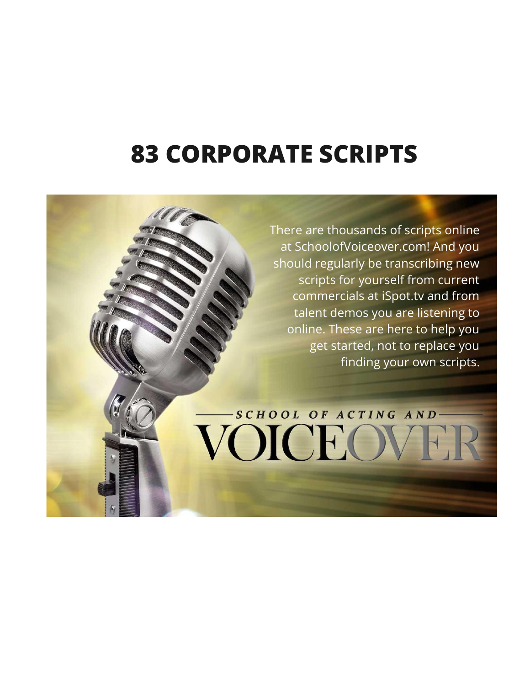# **83 CORPORATE SCRIPTS**

There are thousands of scripts online at SchoolofVoiceover.com! And you should regularly be transcribing new scripts for yourself from current commercials at iSpot.tv and from talent demos you are listening to online. These are here to help you get started, not to replace you finding your own scripts.

-SCHOOL OF ACTING AND

VOICEOV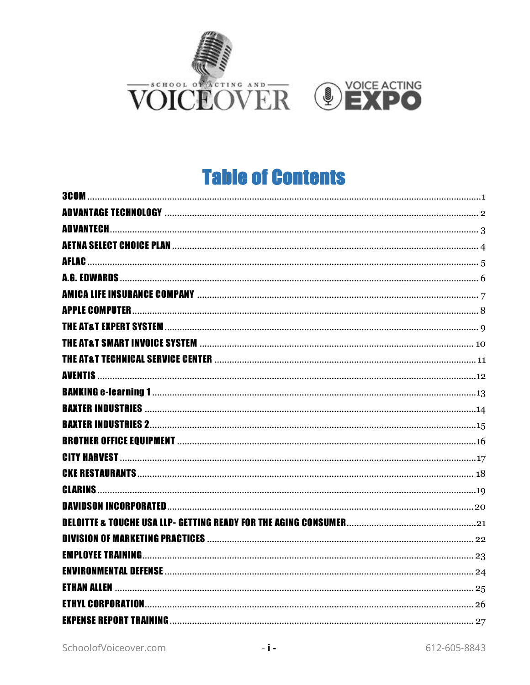



#### **Table of Contents**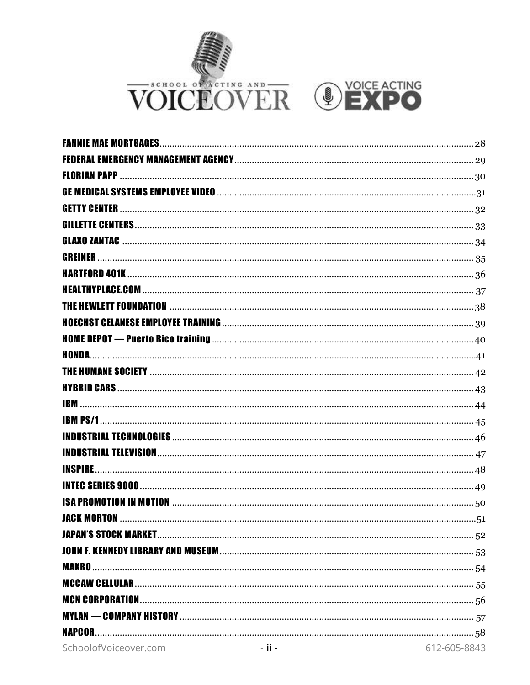



| GREINER            |  |
|--------------------|--|
|                    |  |
|                    |  |
|                    |  |
|                    |  |
|                    |  |
|                    |  |
|                    |  |
|                    |  |
|                    |  |
|                    |  |
|                    |  |
| <b>INSPIRE</b>     |  |
|                    |  |
|                    |  |
| <b>JACK MORTON</b> |  |
|                    |  |
|                    |  |
|                    |  |
|                    |  |
|                    |  |
|                    |  |
|                    |  |
| <b>NAPCOR</b>      |  |
|                    |  |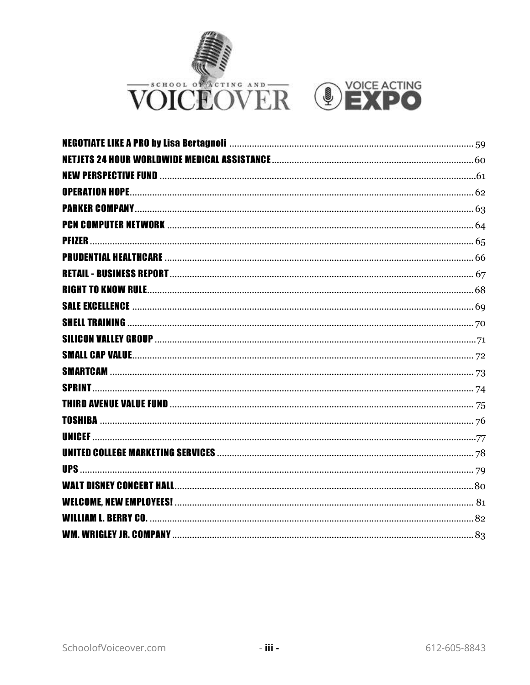



| <b>SPRINT.</b> |  |
|----------------|--|
|                |  |
|                |  |
|                |  |
|                |  |
|                |  |
|                |  |
|                |  |
| . BERRY CO.    |  |
|                |  |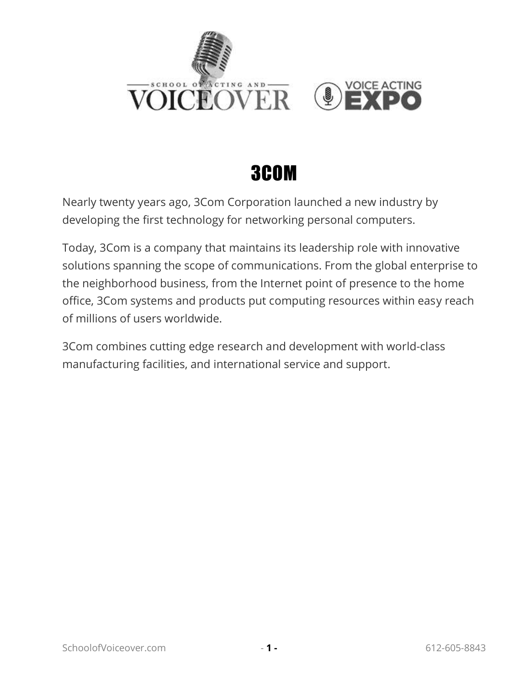

#### 3COM

<span id="page-4-0"></span>Nearly twenty years ago, 3Com Corporation launched a new industry by developing the first technology for networking personal computers.

Today, 3Com is a company that maintains its leadership role with innovative solutions spanning the scope of communications. From the global enterprise to the neighborhood business, from the Internet point of presence to the home office, 3Com systems and products put computing resources within easy reach of millions of users worldwide.

3Com combines cutting edge research and development with world-class manufacturing facilities, and international service and support.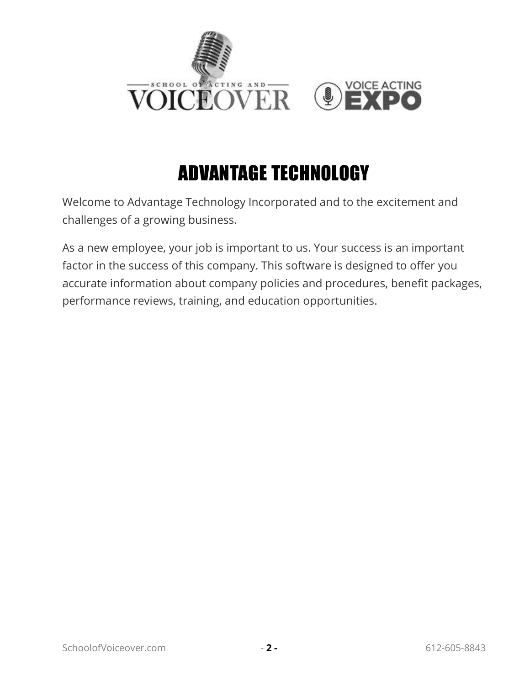

# ADVANTAGE TECHNOLOGY

<span id="page-5-0"></span>Welcome to Advantage Technology Incorporated and to the excitement and challenges of a growing business.

As a new employee, your job is important to us. Your success is an important factor in the success of this company. This software is designed to offer you accurate information about company policies and procedures, benefit packages, performance reviews, training, and education opportunities.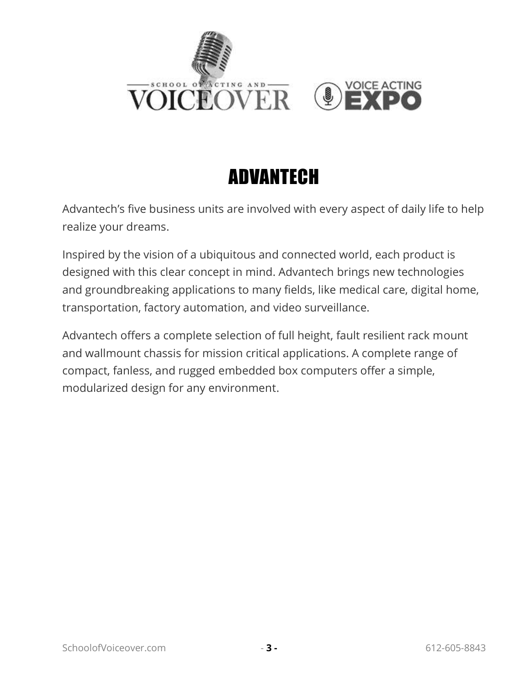



## ADVANTECH

<span id="page-6-0"></span>Advantech's five business units are involved with every aspect of daily life to help realize your dreams.

Inspired by the vision of a ubiquitous and connected world, each product is designed with this clear concept in mind. Advantech brings new technologies and groundbreaking applications to many fields, like medical care, digital home, transportation, factory automation, and video surveillance.

Advantech offers a complete selection of full height, fault resilient rack mount and wallmount chassis for mission critical applications. A complete range of compact, fanless, and rugged embedded box computers offer a simple, modularized design for any environment.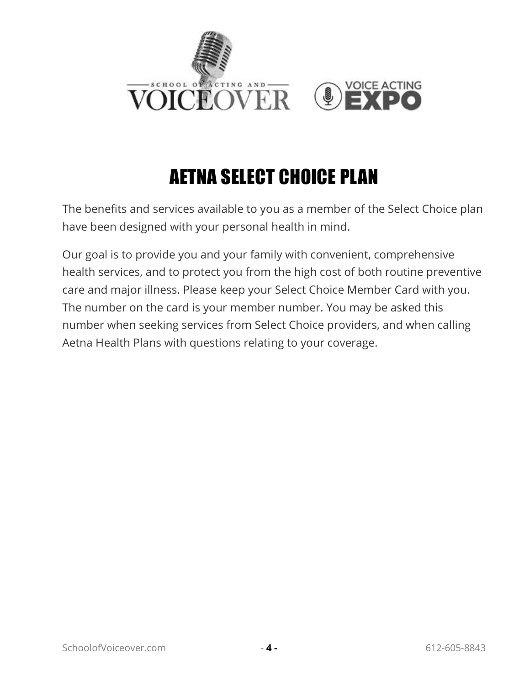

## AETNA SELECT CHOICE PLAN

<span id="page-7-0"></span>The benefits and services available to you as a member of the Select Choice plan have been designed with your personal health in mind.

Our goal is to provide you and your family with convenient, comprehensive health services, and to protect you from the high cost of both routine preventive care and major illness. Please keep your Select Choice Member Card with you. The number on the card is your member number. You may be asked this number when seeking services from Select Choice providers, and when calling Aetna Health Plans with questions relating to your coverage.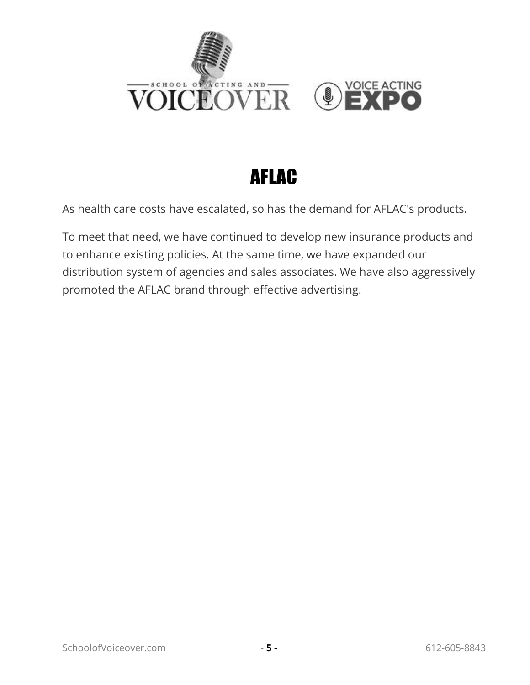

#### AFLAC

<span id="page-8-0"></span>As health care costs have escalated, so has the demand for AFLAC's products.

To meet that need, we have continued to develop new insurance products and to enhance existing policies. At the same time, we have expanded our distribution system of agencies and sales associates. We have also aggressively promoted the AFLAC brand through effective advertising.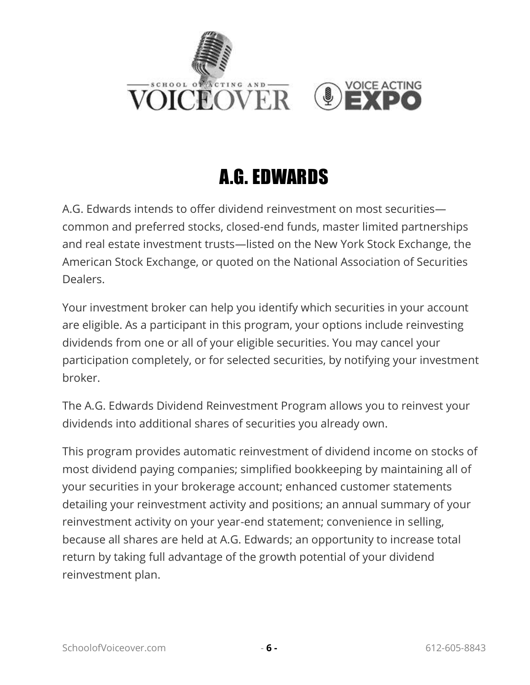

#### A.G. EDWARDS

<span id="page-9-0"></span>A.G. Edwards intends to offer dividend reinvestment on most securities common and preferred stocks, closed-end funds, master limited partnerships and real estate investment trusts—listed on the New York Stock Exchange, the American Stock Exchange, or quoted on the National Association of Securities Dealers.

Your investment broker can help you identify which securities in your account are eligible. As a participant in this program, your options include reinvesting dividends from one or all of your eligible securities. You may cancel your participation completely, or for selected securities, by notifying your investment broker.

The A.G. Edwards Dividend Reinvestment Program allows you to reinvest your dividends into additional shares of securities you already own.

This program provides automatic reinvestment of dividend income on stocks of most dividend paying companies; simplified bookkeeping by maintaining all of your securities in your brokerage account; enhanced customer statements detailing your reinvestment activity and positions; an annual summary of your reinvestment activity on your year-end statement; convenience in selling, because all shares are held at A.G. Edwards; an opportunity to increase total return by taking full advantage of the growth potential of your dividend reinvestment plan.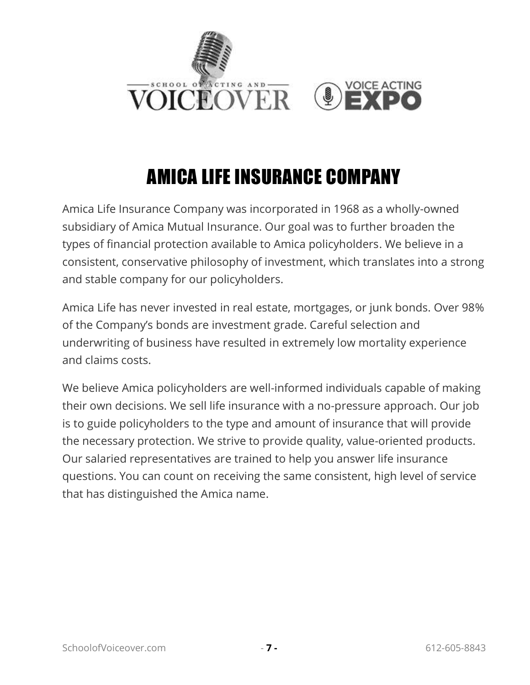

# AMICA LIFE INSURANCE COMPANY

<span id="page-10-0"></span>Amica Life Insurance Company was incorporated in 1968 as a wholly-owned subsidiary of Amica Mutual Insurance. Our goal was to further broaden the types of financial protection available to Amica policyholders. We believe in a consistent, conservative philosophy of investment, which translates into a strong and stable company for our policyholders.

Amica Life has never invested in real estate, mortgages, or junk bonds. Over 98% of the Company's bonds are investment grade. Careful selection and underwriting of business have resulted in extremely low mortality experience and claims costs.

We believe Amica policyholders are well-informed individuals capable of making their own decisions. We sell life insurance with a no-pressure approach. Our job is to guide policyholders to the type and amount of insurance that will provide the necessary protection. We strive to provide quality, value-oriented products. Our salaried representatives are trained to help you answer life insurance questions. You can count on receiving the same consistent, high level of service that has distinguished the Amica name.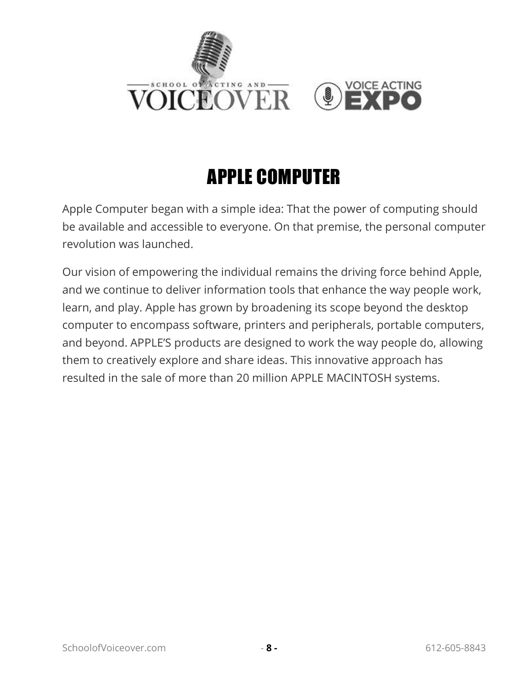

## APPLE COMPUTER

<span id="page-11-0"></span>Apple Computer began with a simple idea: That the power of computing should be available and accessible to everyone. On that premise, the personal computer revolution was launched.

Our vision of empowering the individual remains the driving force behind Apple, and we continue to deliver information tools that enhance the way people work, learn, and play. Apple has grown by broadening its scope beyond the desktop computer to encompass software, printers and peripherals, portable computers, and beyond. APPLE'S products are designed to work the way people do, allowing them to creatively explore and share ideas. This innovative approach has resulted in the sale of more than 20 million APPLE MACINTOSH systems.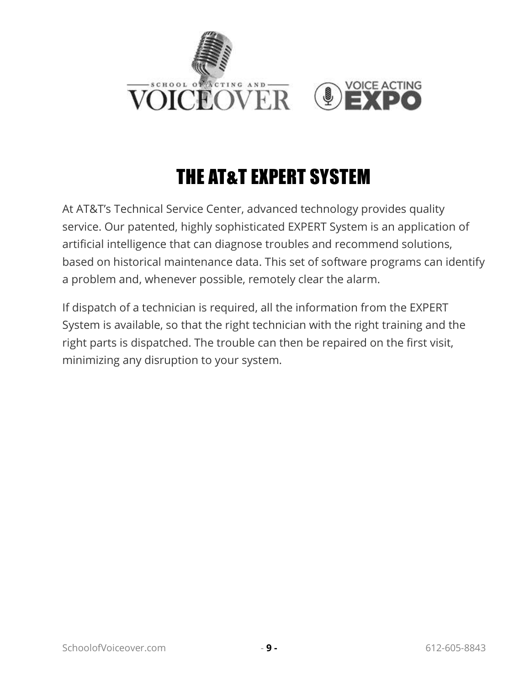

# THE AT&T EXPERT SYSTEM

<span id="page-12-0"></span>At AT&T's Technical Service Center, advanced technology provides quality service. Our patented, highly sophisticated EXPERT System is an application of artificial intelligence that can diagnose troubles and recommend solutions, based on historical maintenance data. This set of software programs can identify a problem and, whenever possible, remotely clear the alarm.

If dispatch of a technician is required, all the information from the EXPERT System is available, so that the right technician with the right training and the right parts is dispatched. The trouble can then be repaired on the first visit, minimizing any disruption to your system.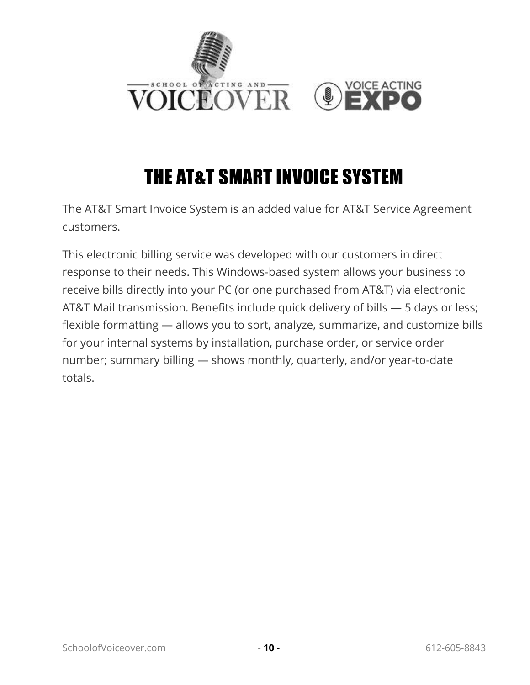

## THE AT&T SMART INVOICE SYSTEM

<span id="page-13-0"></span>The AT&T Smart Invoice System is an added value for AT&T Service Agreement customers.

This electronic billing service was developed with our customers in direct response to their needs. This Windows-based system allows your business to receive bills directly into your PC (or one purchased from AT&T) via electronic AT&T Mail transmission. Benefits include quick delivery of bills — 5 days or less; flexible formatting — allows you to sort, analyze, summarize, and customize bills for your internal systems by installation, purchase order, or service order number; summary billing — shows monthly, quarterly, and/or year-to-date totals.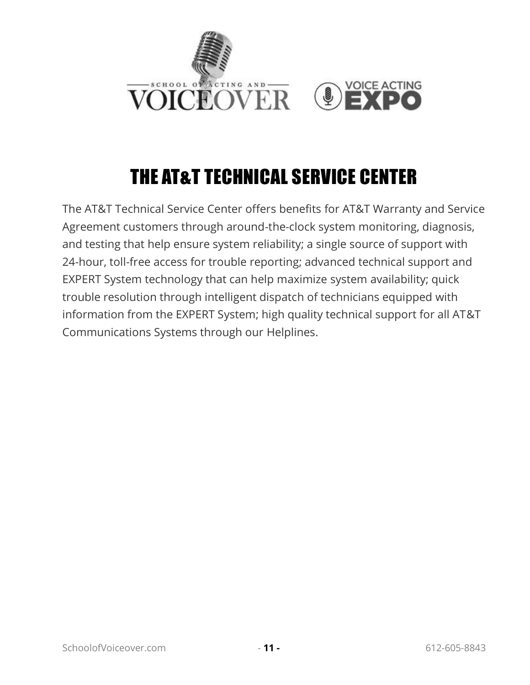

# THE AT&T TECHNICAL SERVICE CENTER

<span id="page-14-0"></span>The AT&T Technical Service Center offers benefits for AT&T Warranty and Service Agreement customers through around-the-clock system monitoring, diagnosis, and testing that help ensure system reliability; a single source of support with 24-hour, toll-free access for trouble reporting; advanced technical support and EXPERT System technology that can help maximize system availability; quick trouble resolution through intelligent dispatch of technicians equipped with information from the EXPERT System; high quality technical support for all AT&T Communications Systems through our Helplines.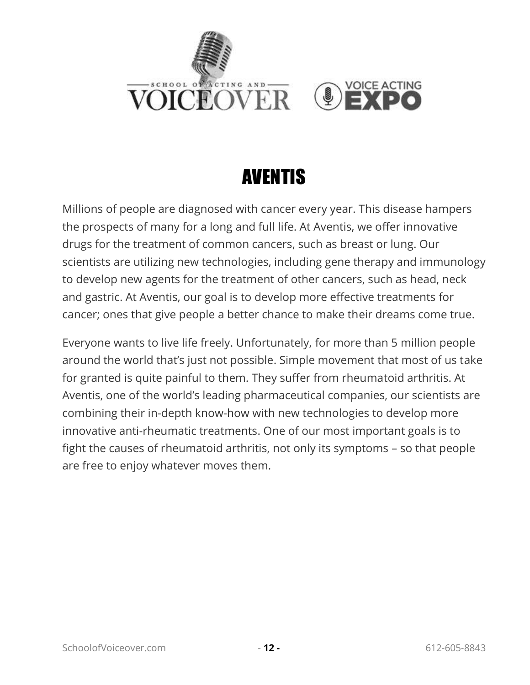

#### AVENTIS

<span id="page-15-0"></span>Millions of people are diagnosed with cancer every year. This disease hampers the prospects of many for a long and full life. At Aventis, we offer innovative drugs for the treatment of common cancers, such as breast or lung. Our scientists are utilizing new technologies, including gene therapy and immunology to develop new agents for the treatment of other cancers, such as head, neck and gastric. At Aventis, our goal is to develop more effective treatments for cancer; ones that give people a better chance to make their dreams come true.

Everyone wants to live life freely. Unfortunately, for more than 5 million people around the world that's just not possible. Simple movement that most of us take for granted is quite painful to them. They suffer from rheumatoid arthritis. At Aventis, one of the world's leading pharmaceutical companies, our scientists are combining their in-depth know-how with new technologies to develop more innovative anti-rheumatic treatments. One of our most important goals is to fight the causes of rheumatoid arthritis, not only its symptoms – so that people are free to enjoy whatever moves them.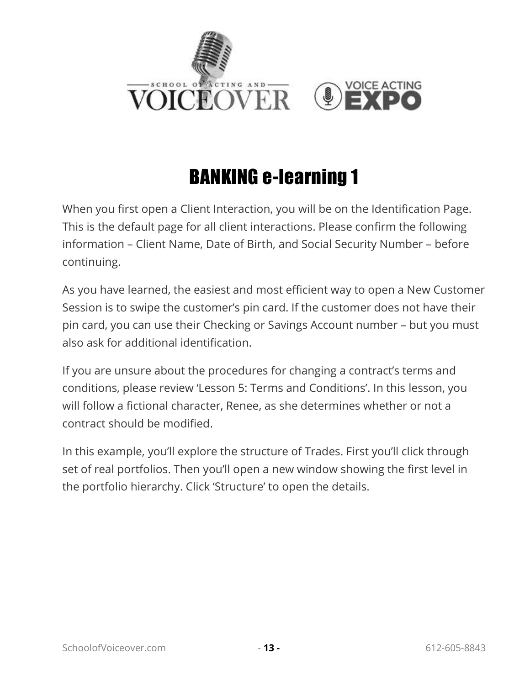

#### BANKING e-learning 1

<span id="page-16-0"></span>When you first open a Client Interaction, you will be on the Identification Page. This is the default page for all client interactions. Please confirm the following information – Client Name, Date of Birth, and Social Security Number – before continuing.

As you have learned, the easiest and most efficient way to open a New Customer Session is to swipe the customer's pin card. If the customer does not have their pin card, you can use their Checking or Savings Account number – but you must also ask for additional identification.

If you are unsure about the procedures for changing a contract's terms and conditions, please review 'Lesson 5: Terms and Conditions'. In this lesson, you will follow a fictional character, Renee, as she determines whether or not a contract should be modified.

In this example, you'll explore the structure of Trades. First you'll click through set of real portfolios. Then you'll open a new window showing the first level in the portfolio hierarchy. Click 'Structure' to open the details.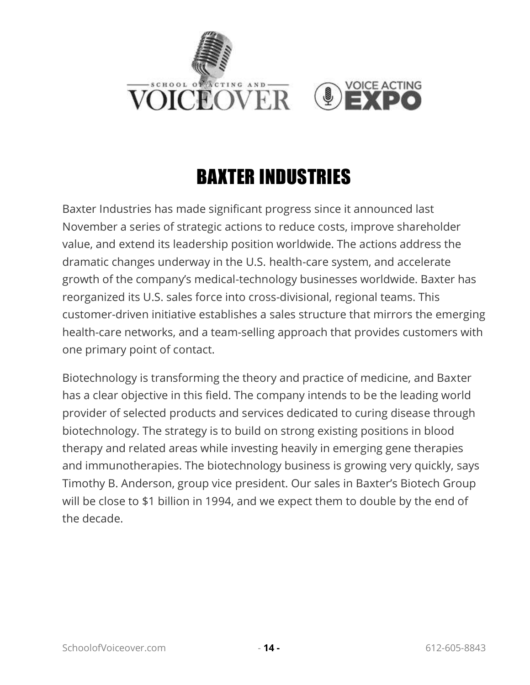

# BAXTER INDUSTRIES

<span id="page-17-0"></span>Baxter Industries has made significant progress since it announced last November a series of strategic actions to reduce costs, improve shareholder value, and extend its leadership position worldwide. The actions address the dramatic changes underway in the U.S. health-care system, and accelerate growth of the company's medical-technology businesses worldwide. Baxter has reorganized its U.S. sales force into cross-divisional, regional teams. This customer-driven initiative establishes a sales structure that mirrors the emerging health-care networks, and a team-selling approach that provides customers with one primary point of contact.

Biotechnology is transforming the theory and practice of medicine, and Baxter has a clear objective in this field. The company intends to be the leading world provider of selected products and services dedicated to curing disease through biotechnology. The strategy is to build on strong existing positions in blood therapy and related areas while investing heavily in emerging gene therapies and immunotherapies. The biotechnology business is growing very quickly, says Timothy B. Anderson, group vice president. Our sales in Baxter's Biotech Group will be close to \$1 billion in 1994, and we expect them to double by the end of the decade.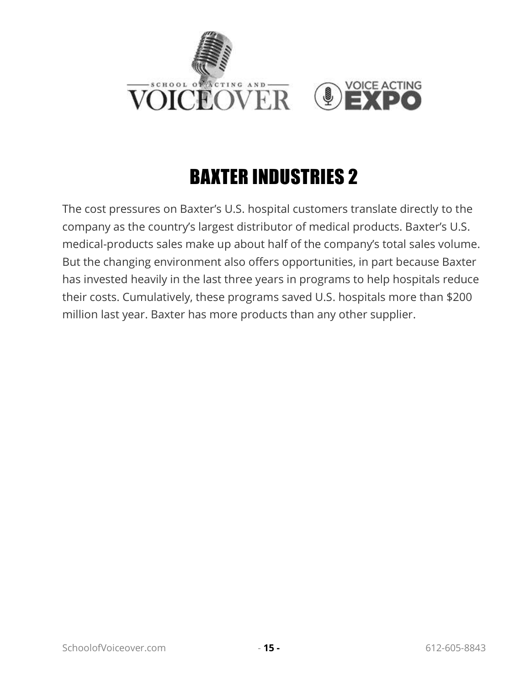

# BAXTER INDUSTRIES 2

<span id="page-18-0"></span>The cost pressures on Baxter's U.S. hospital customers translate directly to the company as the country's largest distributor of medical products. Baxter's U.S. medical-products sales make up about half of the company's total sales volume. But the changing environment also offers opportunities, in part because Baxter has invested heavily in the last three years in programs to help hospitals reduce their costs. Cumulatively, these programs saved U.S. hospitals more than \$200 million last year. Baxter has more products than any other supplier.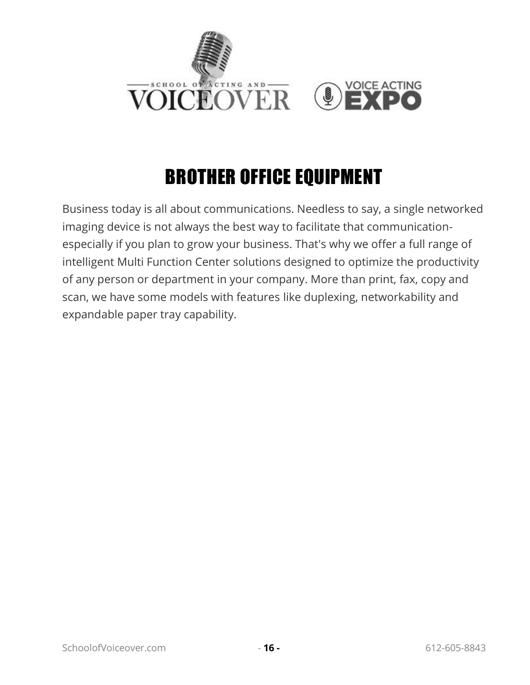

## BROTHER OFFICE EQUIPMENT

<span id="page-19-0"></span>Business today is all about communications. Needless to say, a single networked imaging device is not always the best way to facilitate that communicationespecially if you plan to grow your business. That's why we offer a full range of intelligent Multi Function Center solutions designed to optimize the productivity of any person or department in your company. More than print, fax, copy and scan, we have some models with features like duplexing, networkability and expandable paper tray capability.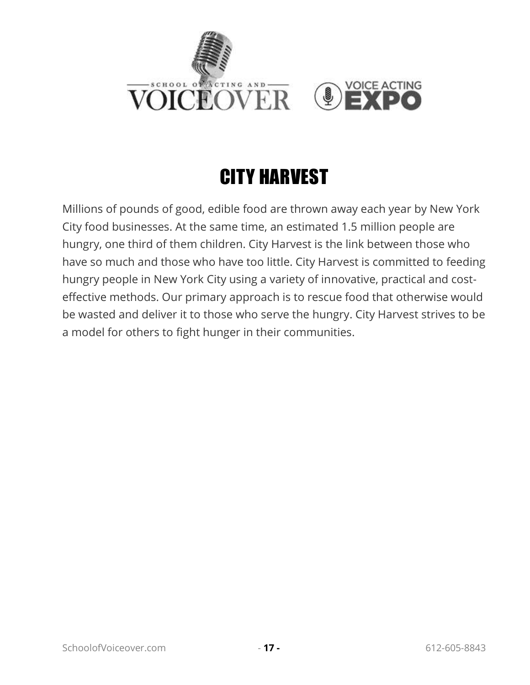

# CITY HARVEST

<span id="page-20-0"></span>Millions of pounds of good, edible food are thrown away each year by New York City food businesses. At the same time, an estimated 1.5 million people are hungry, one third of them children. City Harvest is the link between those who have so much and those who have too little. City Harvest is committed to feeding hungry people in New York City using a variety of innovative, practical and costeffective methods. Our primary approach is to rescue food that otherwise would be wasted and deliver it to those who serve the hungry. City Harvest strives to be a model for others to fight hunger in their communities.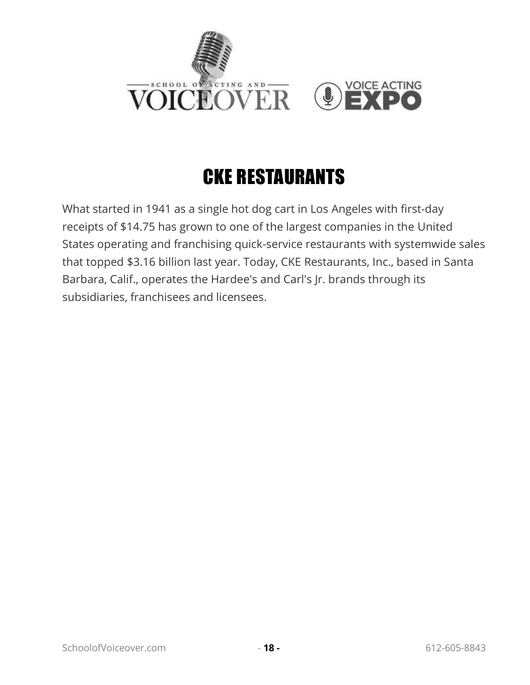

# CKE RESTAURANTS

<span id="page-21-0"></span>What started in 1941 as a single hot dog cart in Los Angeles with first-day receipts of \$14.75 has grown to one of the largest companies in the United States operating and franchising quick-service restaurants with systemwide sales that topped \$3.16 billion last year. Today, CKE Restaurants, Inc., based in Santa Barbara, Calif., operates the Hardee's and Carl's Jr. brands through its subsidiaries, franchisees and licensees.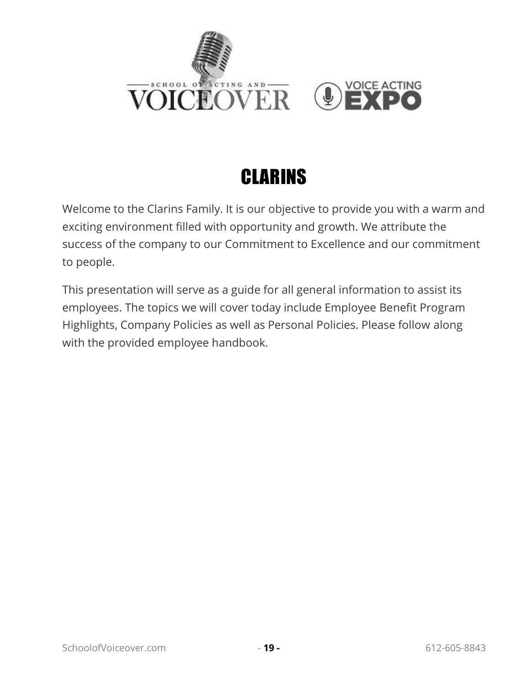



<span id="page-22-0"></span>Welcome to the Clarins Family. It is our objective to provide you with a warm and exciting environment filled with opportunity and growth. We attribute the success of the company to our Commitment to Excellence and our commitment to people.

This presentation will serve as a guide for all general information to assist its employees. The topics we will cover today include Employee Benefit Program Highlights, Company Policies as well as Personal Policies. Please follow along with the provided employee handbook.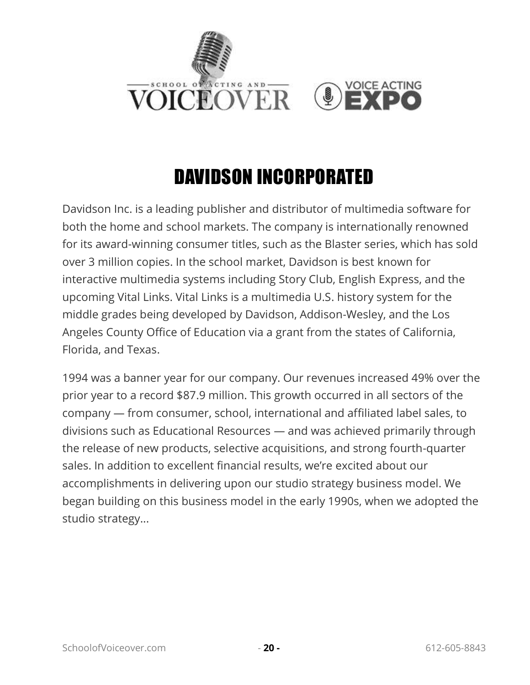

#### DAVIDSON INCORPORATED

<span id="page-23-0"></span>Davidson Inc. is a leading publisher and distributor of multimedia software for both the home and school markets. The company is internationally renowned for its award-winning consumer titles, such as the Blaster series, which has sold over 3 million copies. In the school market, Davidson is best known for interactive multimedia systems including Story Club, English Express, and the upcoming Vital Links. Vital Links is a multimedia U.S. history system for the middle grades being developed by Davidson, Addison-Wesley, and the Los Angeles County Office of Education via a grant from the states of California, Florida, and Texas.

1994 was a banner year for our company. Our revenues increased 49% over the prior year to a record \$87.9 million. This growth occurred in all sectors of the company — from consumer, school, international and affiliated label sales, to divisions such as Educational Resources — and was achieved primarily through the release of new products, selective acquisitions, and strong fourth-quarter sales. In addition to excellent financial results, we're excited about our accomplishments in delivering upon our studio strategy business model. We began building on this business model in the early 1990s, when we adopted the studio strategy...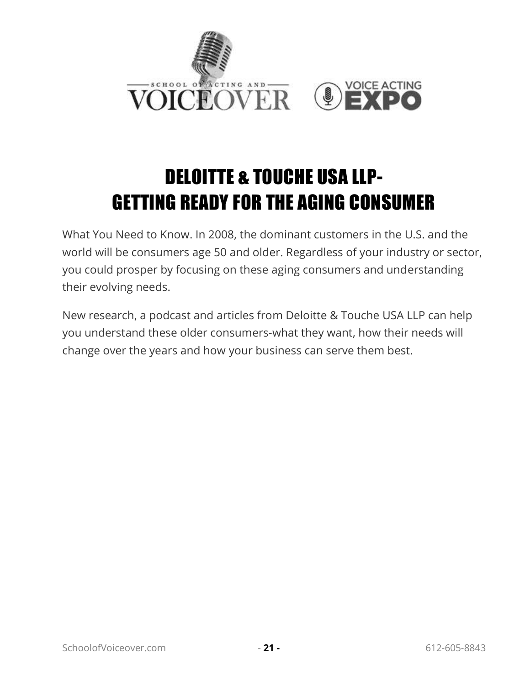

# <span id="page-24-0"></span>DELOITTE & TOUCHE USA LLP-GETTING READY FOR THE AGING CONSUMER

What You Need to Know. In 2008, the dominant customers in the U.S. and the world will be consumers age 50 and older. Regardless of your industry or sector, you could prosper by focusing on these aging consumers and understanding their evolving needs.

New research, a podcast and articles from Deloitte & Touche USA LLP can help you understand these older consumers-what they want, how their needs will change over the years and how your business can serve them best.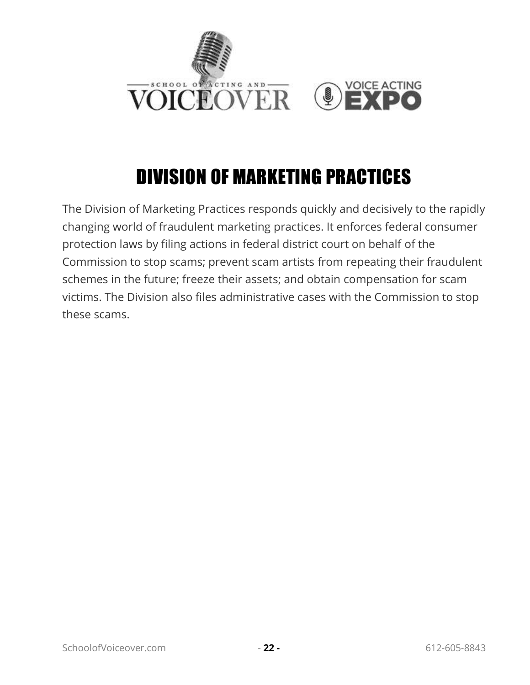

## DIVISION OF MARKETING PRACTICES

<span id="page-25-0"></span>The Division of Marketing Practices responds quickly and decisively to the rapidly changing world of fraudulent marketing practices. It enforces federal consumer protection laws by filing actions in federal district court on behalf of the Commission to stop scams; prevent scam artists from repeating their fraudulent schemes in the future; freeze their assets; and obtain compensation for scam victims. The Division also files administrative cases with the Commission to stop these scams.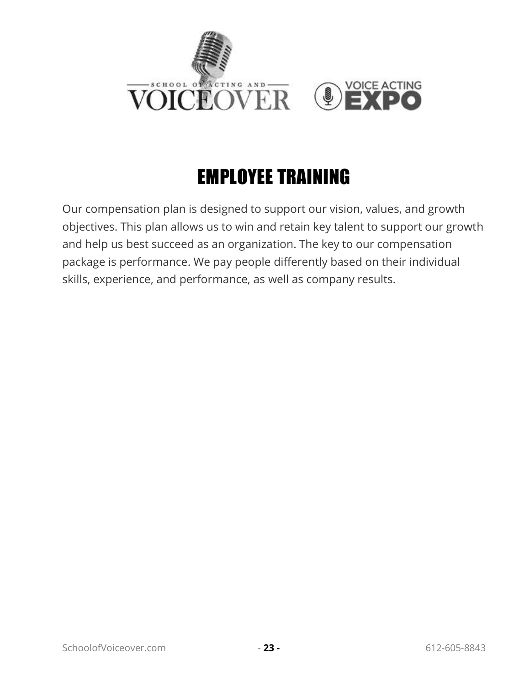

# EMPLOYEE TRAINING

<span id="page-26-0"></span>Our compensation plan is designed to support our vision, values, and growth objectives. This plan allows us to win and retain key talent to support our growth and help us best succeed as an organization. The key to our compensation package is performance. We pay people differently based on their individual skills, experience, and performance, as well as company results.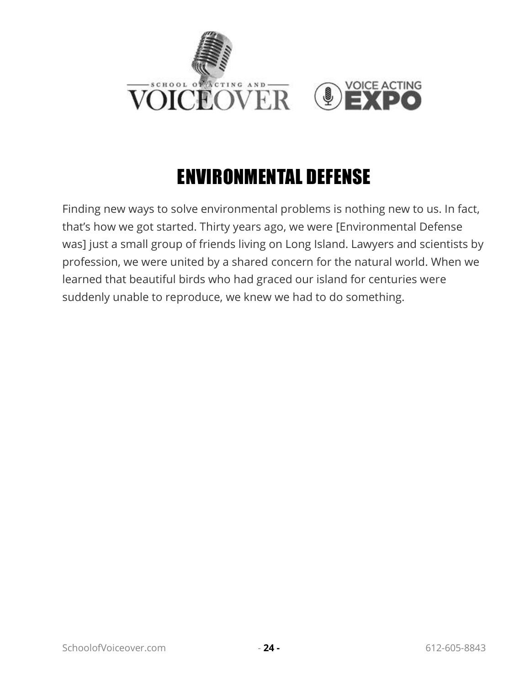

#### ENVIRONMENTAL DEFENSE

<span id="page-27-0"></span>Finding new ways to solve environmental problems is nothing new to us. In fact, that's how we got started. Thirty years ago, we were [Environmental Defense was] just a small group of friends living on Long Island. Lawyers and scientists by profession, we were united by a shared concern for the natural world. When we learned that beautiful birds who had graced our island for centuries were suddenly unable to reproduce, we knew we had to do something.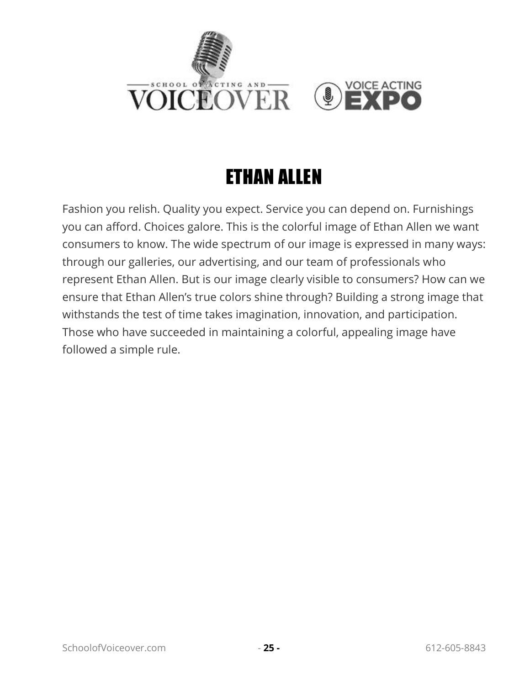

#### ETHAN ALLEN

<span id="page-28-0"></span>Fashion you relish. Quality you expect. Service you can depend on. Furnishings you can afford. Choices galore. This is the colorful image of Ethan Allen we want consumers to know. The wide spectrum of our image is expressed in many ways: through our galleries, our advertising, and our team of professionals who represent Ethan Allen. But is our image clearly visible to consumers? How can we ensure that Ethan Allen's true colors shine through? Building a strong image that withstands the test of time takes imagination, innovation, and participation. Those who have succeeded in maintaining a colorful, appealing image have followed a simple rule.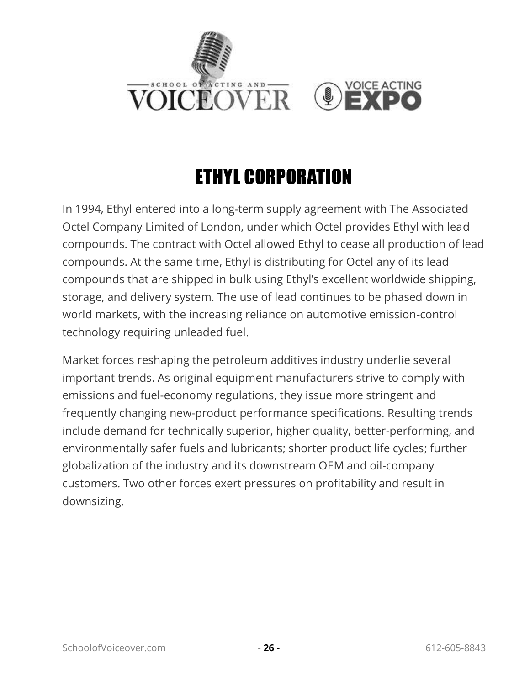

# ETHYL CORPORATION

<span id="page-29-0"></span>In 1994, Ethyl entered into a long-term supply agreement with The Associated Octel Company Limited of London, under which Octel provides Ethyl with lead compounds. The contract with Octel allowed Ethyl to cease all production of lead compounds. At the same time, Ethyl is distributing for Octel any of its lead compounds that are shipped in bulk using Ethyl's excellent worldwide shipping, storage, and delivery system. The use of lead continues to be phased down in world markets, with the increasing reliance on automotive emission-control technology requiring unleaded fuel.

Market forces reshaping the petroleum additives industry underlie several important trends. As original equipment manufacturers strive to comply with emissions and fuel-economy regulations, they issue more stringent and frequently changing new-product performance specifications. Resulting trends include demand for technically superior, higher quality, better-performing, and environmentally safer fuels and lubricants; shorter product life cycles; further globalization of the industry and its downstream OEM and oil-company customers. Two other forces exert pressures on profitability and result in downsizing.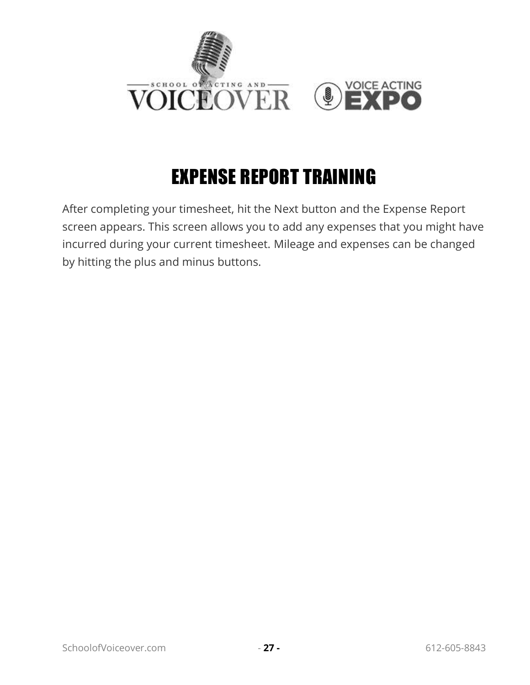

#### EXPENSE REPORT TRAINING

<span id="page-30-0"></span>After completing your timesheet, hit the Next button and the Expense Report screen appears. This screen allows you to add any expenses that you might have incurred during your current timesheet. Mileage and expenses can be changed by hitting the plus and minus buttons.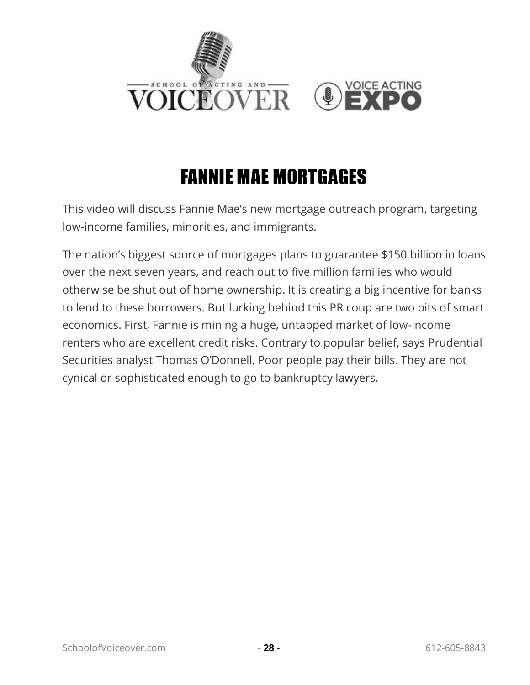

#### FANNIE MAE MORTGAGES

<span id="page-31-0"></span>This video will discuss Fannie Mae's new mortgage outreach program, targeting low-income families, minorities, and immigrants.

The nation's biggest source of mortgages plans to guarantee \$150 billion in loans over the next seven years, and reach out to five million families who would otherwise be shut out of home ownership. It is creating a big incentive for banks to lend to these borrowers. But lurking behind this PR coup are two bits of smart economics. First, Fannie is mining a huge, untapped market of low-income renters who are excellent credit risks. Contrary to popular belief, says Prudential Securities analyst Thomas O'Donnell, Poor people pay their bills. They are not cynical or sophisticated enough to go to bankruptcy lawyers.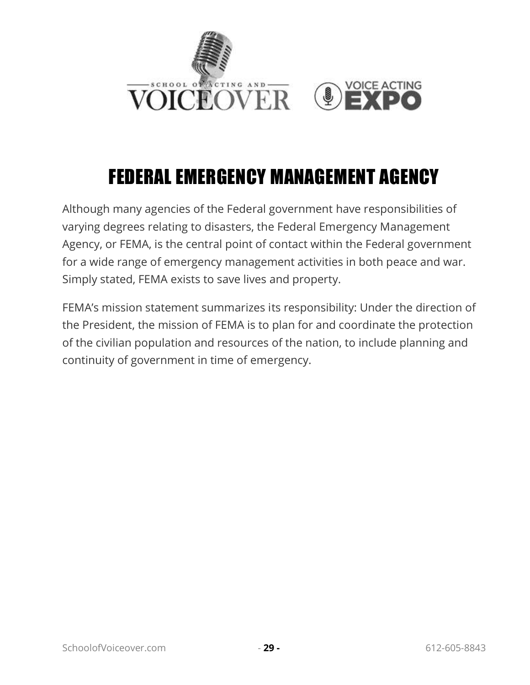

#### FEDERAL EMERGENCY MANAGEMENT AGENCY

<span id="page-32-0"></span>Although many agencies of the Federal government have responsibilities of varying degrees relating to disasters, the Federal Emergency Management Agency, or FEMA, is the central point of contact within the Federal government for a wide range of emergency management activities in both peace and war. Simply stated, FEMA exists to save lives and property.

FEMA's mission statement summarizes its responsibility: Under the direction of the President, the mission of FEMA is to plan for and coordinate the protection of the civilian population and resources of the nation, to include planning and continuity of government in time of emergency.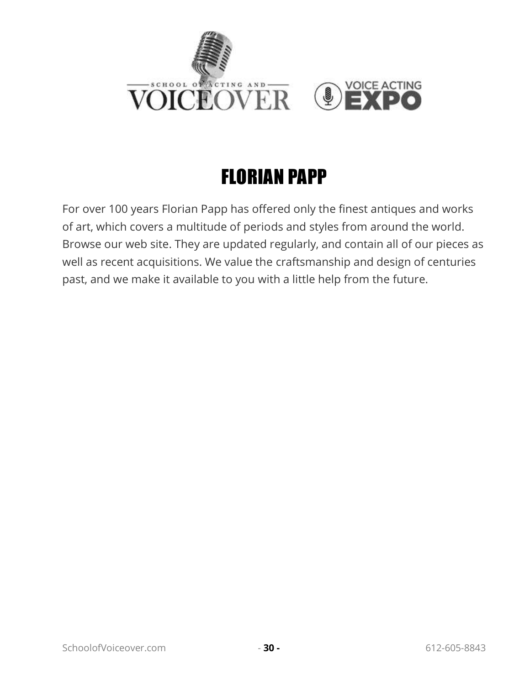

## FLORIAN PAPP

<span id="page-33-0"></span>For over 100 years Florian Papp has offered only the finest antiques and works of art, which covers a multitude of periods and styles from around the world. Browse our web site. They are updated regularly, and contain all of our pieces as well as recent acquisitions. We value the craftsmanship and design of centuries past, and we make it available to you with a little help from the future.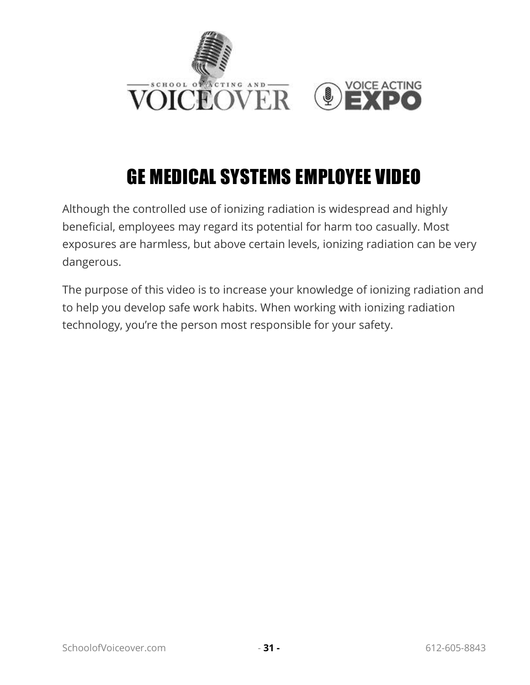

# GE MEDICAL SYSTEMS EMPLOYEE VIDEO

<span id="page-34-0"></span>Although the controlled use of ionizing radiation is widespread and highly beneficial, employees may regard its potential for harm too casually. Most exposures are harmless, but above certain levels, ionizing radiation can be very dangerous.

The purpose of this video is to increase your knowledge of ionizing radiation and to help you develop safe work habits. When working with ionizing radiation technology, you're the person most responsible for your safety.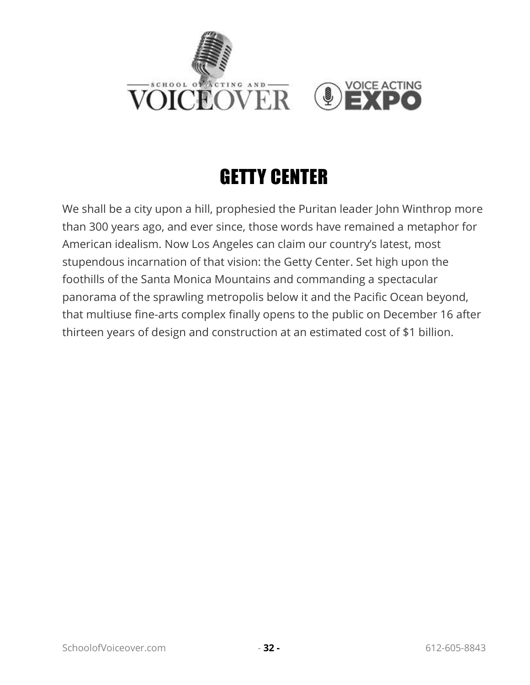

#### GETTY CENTER

<span id="page-35-0"></span>We shall be a city upon a hill, prophesied the Puritan leader John Winthrop more than 300 years ago, and ever since, those words have remained a metaphor for American idealism. Now Los Angeles can claim our country's latest, most stupendous incarnation of that vision: the Getty Center. Set high upon the foothills of the Santa Monica Mountains and commanding a spectacular panorama of the sprawling metropolis below it and the Pacific Ocean beyond, that multiuse fine-arts complex finally opens to the public on December 16 after thirteen years of design and construction at an estimated cost of \$1 billion.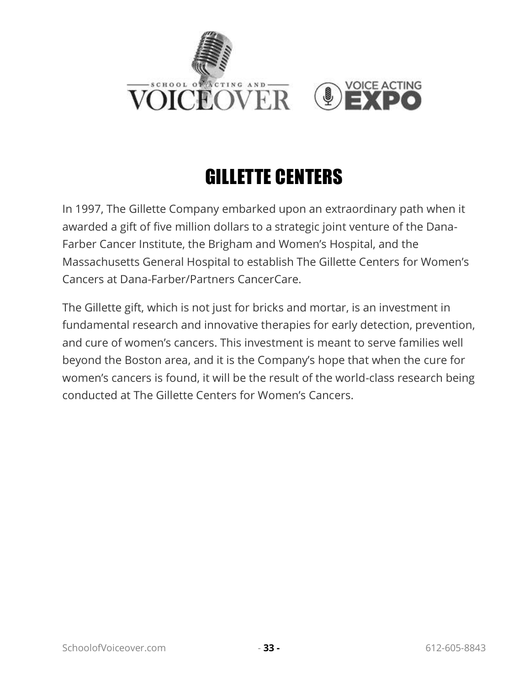

# GILLETTE CENTERS

In 1997, The Gillette Company embarked upon an extraordinary path when it awarded a gift of five million dollars to a strategic joint venture of the Dana-Farber Cancer Institute, the Brigham and Women's Hospital, and the Massachusetts General Hospital to establish The Gillette Centers for Women's Cancers at Dana-Farber/Partners CancerCare.

The Gillette gift, which is not just for bricks and mortar, is an investment in fundamental research and innovative therapies for early detection, prevention, and cure of women's cancers. This investment is meant to serve families well beyond the Boston area, and it is the Company's hope that when the cure for women's cancers is found, it will be the result of the world-class research being conducted at The Gillette Centers for Women's Cancers.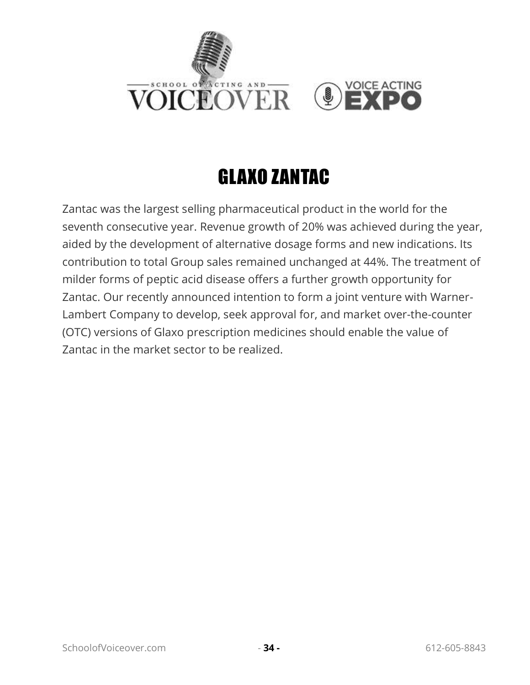

## GLAXO ZANTAC

Zantac was the largest selling pharmaceutical product in the world for the seventh consecutive year. Revenue growth of 20% was achieved during the year, aided by the development of alternative dosage forms and new indications. Its contribution to total Group sales remained unchanged at 44%. The treatment of milder forms of peptic acid disease offers a further growth opportunity for Zantac. Our recently announced intention to form a joint venture with Warner-Lambert Company to develop, seek approval for, and market over-the-counter (OTC) versions of Glaxo prescription medicines should enable the value of Zantac in the market sector to be realized.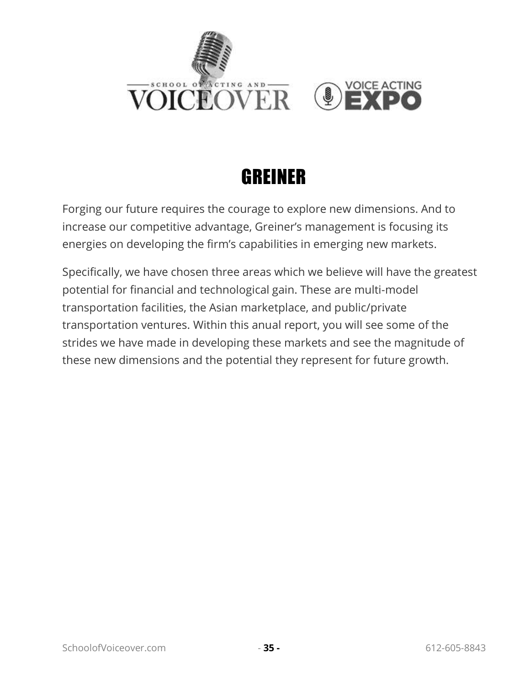



#### GREINER

Forging our future requires the courage to explore new dimensions. And to increase our competitive advantage, Greiner's management is focusing its energies on developing the firm's capabilities in emerging new markets.

Specifically, we have chosen three areas which we believe will have the greatest potential for financial and technological gain. These are multi-model transportation facilities, the Asian marketplace, and public/private transportation ventures. Within this anual report, you will see some of the strides we have made in developing these markets and see the magnitude of these new dimensions and the potential they represent for future growth.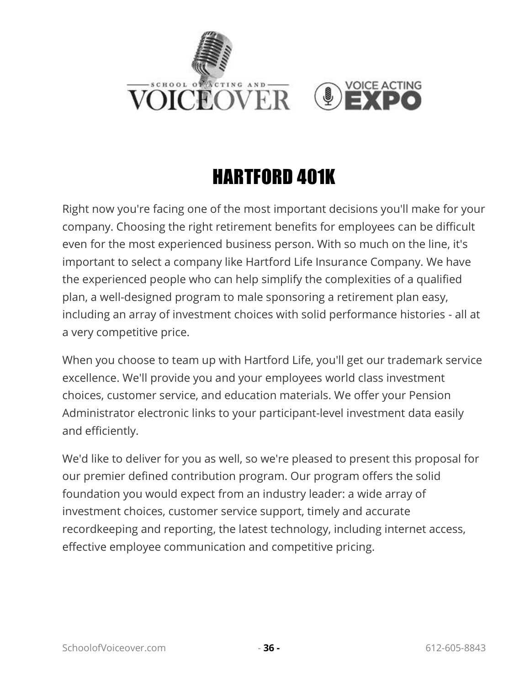

## HARTFORD 401K

Right now you're facing one of the most important decisions you'll make for your company. Choosing the right retirement benefits for employees can be difficult even for the most experienced business person. With so much on the line, it's important to select a company like Hartford Life Insurance Company. We have the experienced people who can help simplify the complexities of a qualified plan, a well-designed program to male sponsoring a retirement plan easy, including an array of investment choices with solid performance histories - all at a very competitive price.

When you choose to team up with Hartford Life, you'll get our trademark service excellence. We'll provide you and your employees world class investment choices, customer service, and education materials. We offer your Pension Administrator electronic links to your participant-level investment data easily and efficiently.

We'd like to deliver for you as well, so we're pleased to present this proposal for our premier defined contribution program. Our program offers the solid foundation you would expect from an industry leader: a wide array of investment choices, customer service support, timely and accurate recordkeeping and reporting, the latest technology, including internet access, effective employee communication and competitive pricing.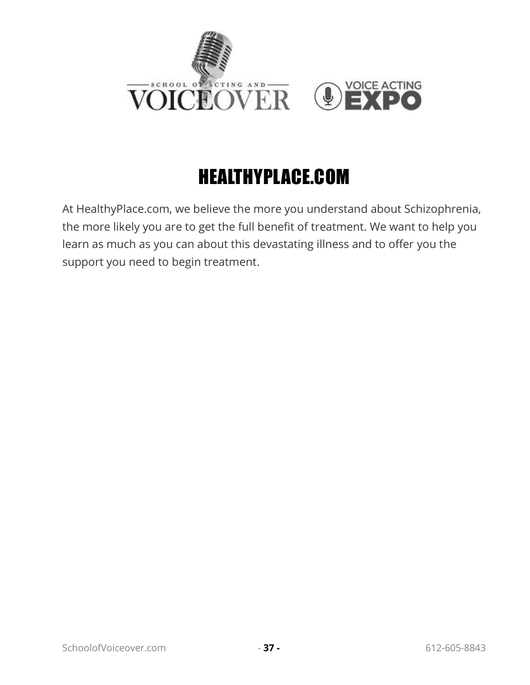

# HEALTHYPLACE.COM

At HealthyPlace.com, we believe the more you understand about Schizophrenia, the more likely you are to get the full benefit of treatment. We want to help you learn as much as you can about this devastating illness and to offer you the support you need to begin treatment.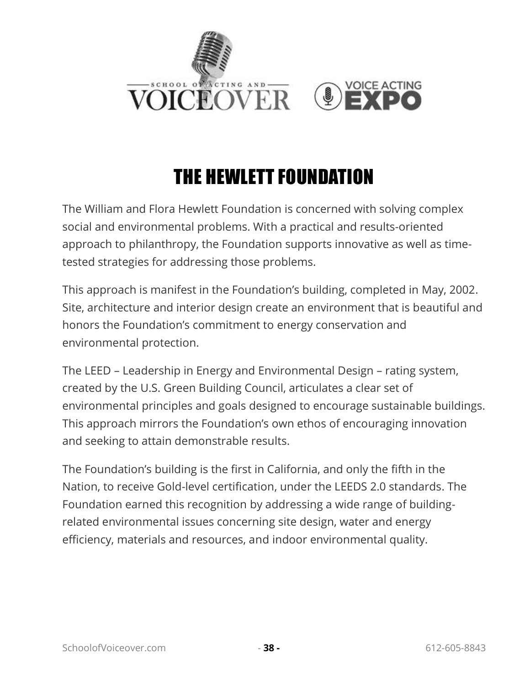

## THE HEWLETT FOUNDATION

The William and Flora Hewlett Foundation is concerned with solving complex social and environmental problems. With a practical and results-oriented approach to philanthropy, the Foundation supports innovative as well as timetested strategies for addressing those problems.

This approach is manifest in the Foundation's building, completed in May, 2002. Site, architecture and interior design create an environment that is beautiful and honors the Foundation's commitment to energy conservation and environmental protection.

The LEED – Leadership in Energy and Environmental Design – rating system, created by the U.S. Green Building Council, articulates a clear set of environmental principles and goals designed to encourage sustainable buildings. This approach mirrors the Foundation's own ethos of encouraging innovation and seeking to attain demonstrable results.

The Foundation's building is the first in California, and only the fifth in the Nation, to receive Gold-level certification, under the LEEDS 2.0 standards. The Foundation earned this recognition by addressing a wide range of buildingrelated environmental issues concerning site design, water and energy efficiency, materials and resources, and indoor environmental quality.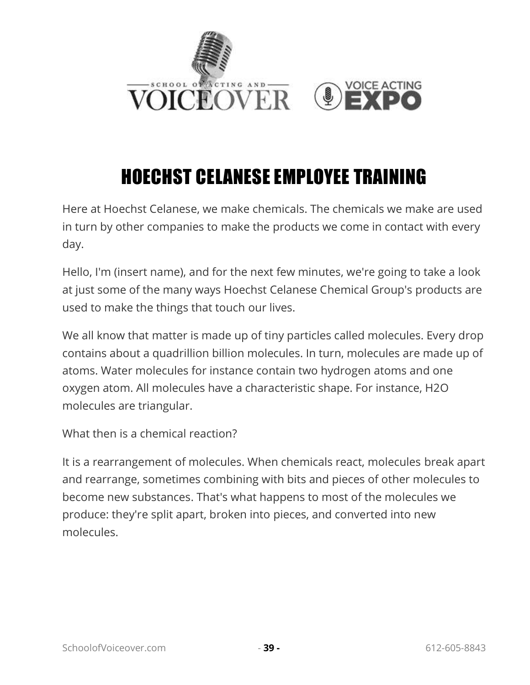

# HOECHST CELANESE EMPLOYEE TRAINING

Here at Hoechst Celanese, we make chemicals. The chemicals we make are used in turn by other companies to make the products we come in contact with every day.

Hello, I'm (insert name), and for the next few minutes, we're going to take a look at just some of the many ways Hoechst Celanese Chemical Group's products are used to make the things that touch our lives.

We all know that matter is made up of tiny particles called molecules. Every drop contains about a quadrillion billion molecules. In turn, molecules are made up of atoms. Water molecules for instance contain two hydrogen atoms and one oxygen atom. All molecules have a characteristic shape. For instance, H2O molecules are triangular.

What then is a chemical reaction?

It is a rearrangement of molecules. When chemicals react, molecules break apart and rearrange, sometimes combining with bits and pieces of other molecules to become new substances. That's what happens to most of the molecules we produce: they're split apart, broken into pieces, and converted into new molecules.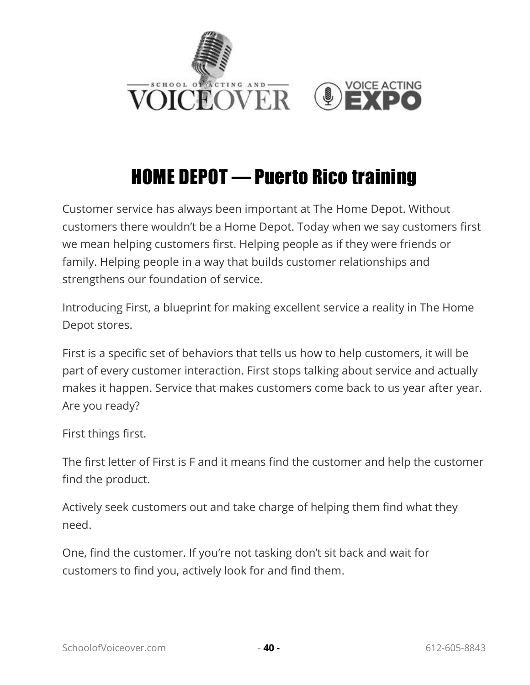

#### HOME DEPOT — Puerto Rico training

Customer service has always been important at The Home Depot. Without customers there wouldn't be a Home Depot. Today when we say customers first we mean helping customers first. Helping people as if they were friends or family. Helping people in a way that builds customer relationships and strengthens our foundation of service.

Introducing First, a blueprint for making excellent service a reality in The Home Depot stores.

First is a specific set of behaviors that tells us how to help customers, it will be part of every customer interaction. First stops talking about service and actually makes it happen. Service that makes customers come back to us year after year. Are you ready?

First things first.

The first letter of First is F and it means find the customer and help the customer find the product.

Actively seek customers out and take charge of helping them find what they need.

One, find the customer. If you're not tasking don't sit back and wait for customers to find you, actively look for and find them.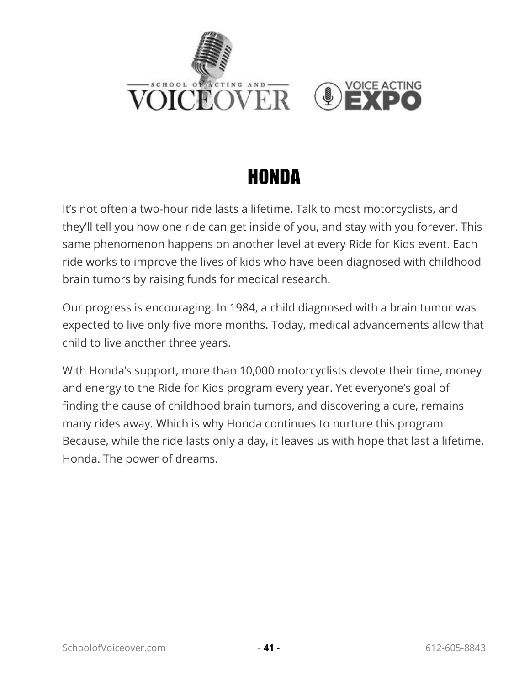

#### HONDA

It's not often a two-hour ride lasts a lifetime. Talk to most motorcyclists, and they'll tell you how one ride can get inside of you, and stay with you forever. This same phenomenon happens on another level at every Ride for Kids event. Each ride works to improve the lives of kids who have been diagnosed with childhood brain tumors by raising funds for medical research.

Our progress is encouraging. In 1984, a child diagnosed with a brain tumor was expected to live only five more months. Today, medical advancements allow that child to live another three years.

With Honda's support, more than 10,000 motorcyclists devote their time, money and energy to the Ride for Kids program every year. Yet everyone's goal of finding the cause of childhood brain tumors, and discovering a cure, remains many rides away. Which is why Honda continues to nurture this program. Because, while the ride lasts only a day, it leaves us with hope that last a lifetime. Honda. The power of dreams.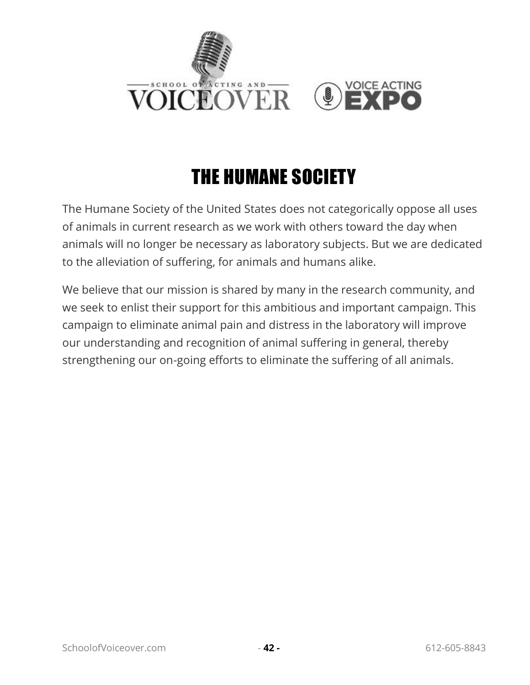

# THE HUMANE SOCIETY

The Humane Society of the United States does not categorically oppose all uses of animals in current research as we work with others toward the day when animals will no longer be necessary as laboratory subjects. But we are dedicated to the alleviation of suffering, for animals and humans alike.

We believe that our mission is shared by many in the research community, and we seek to enlist their support for this ambitious and important campaign. This campaign to eliminate animal pain and distress in the laboratory will improve our understanding and recognition of animal suffering in general, thereby strengthening our on-going efforts to eliminate the suffering of all animals.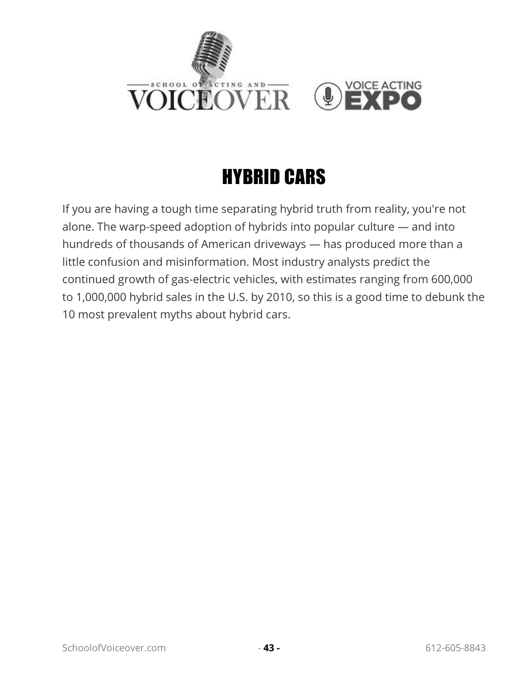

## HYBRID CARS

If you are having a tough time separating hybrid truth from reality, you're not alone. The warp-speed adoption of hybrids into popular culture — and into hundreds of thousands of American driveways — has produced more than a little confusion and misinformation. Most industry analysts predict the continued growth of gas-electric vehicles, with estimates ranging from 600,000 to 1,000,000 hybrid sales in the U.S. by 2010, so this is a good time to debunk the 10 most prevalent myths about hybrid cars.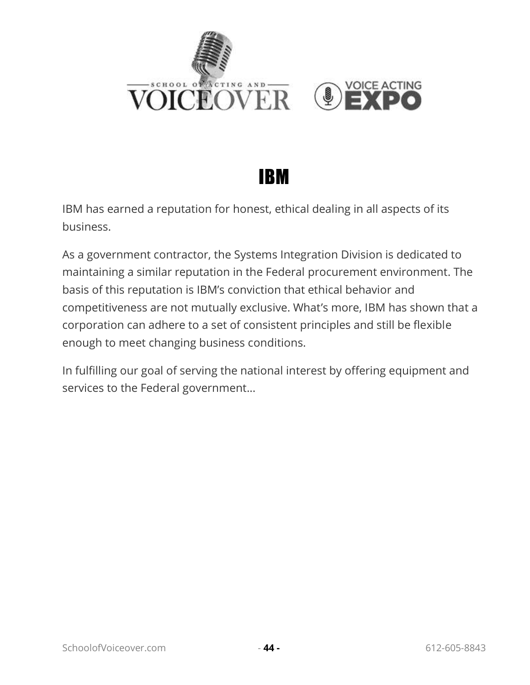

#### IBM

IBM has earned a reputation for honest, ethical dealing in all aspects of its business.

As a government contractor, the Systems Integration Division is dedicated to maintaining a similar reputation in the Federal procurement environment. The basis of this reputation is IBM's conviction that ethical behavior and competitiveness are not mutually exclusive. What's more, IBM has shown that a corporation can adhere to a set of consistent principles and still be flexible enough to meet changing business conditions.

In fulfilling our goal of serving the national interest by offering equipment and services to the Federal government...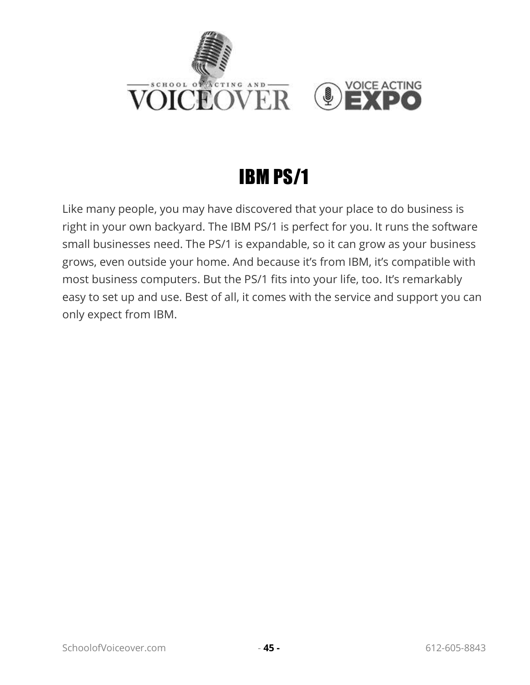

# IBM PS/1

Like many people, you may have discovered that your place to do business is right in your own backyard. The IBM PS/1 is perfect for you. It runs the software small businesses need. The PS/1 is expandable, so it can grow as your business grows, even outside your home. And because it's from IBM, it's compatible with most business computers. But the PS/1 fits into your life, too. It's remarkably easy to set up and use. Best of all, it comes with the service and support you can only expect from IBM.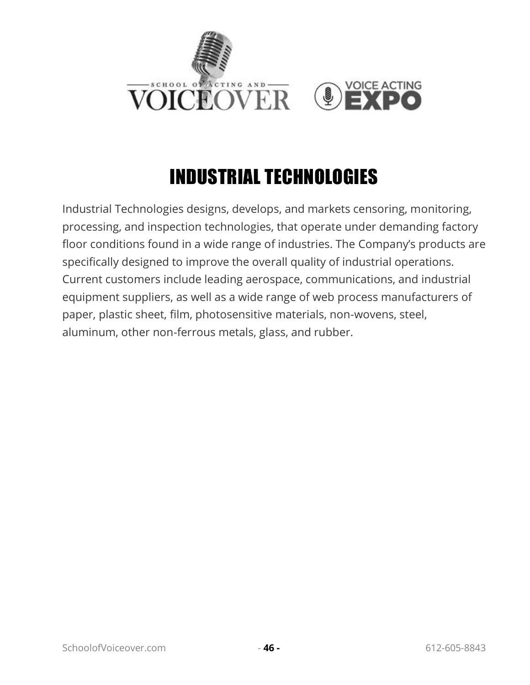

# INDUSTRIAL TECHNOLOGIES

Industrial Technologies designs, develops, and markets censoring, monitoring, processing, and inspection technologies, that operate under demanding factory floor conditions found in a wide range of industries. The Company's products are specifically designed to improve the overall quality of industrial operations. Current customers include leading aerospace, communications, and industrial equipment suppliers, as well as a wide range of web process manufacturers of paper, plastic sheet, film, photosensitive materials, non-wovens, steel, aluminum, other non-ferrous metals, glass, and rubber.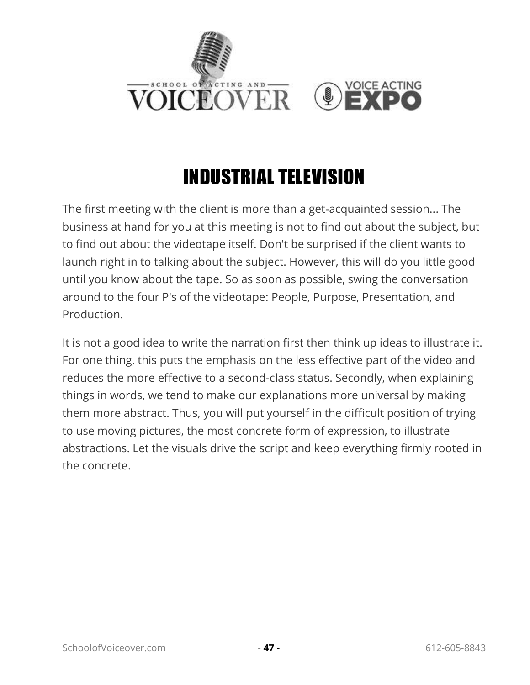

## INDUSTRIAL TELEVISION

The first meeting with the client is more than a get-acquainted session... The business at hand for you at this meeting is not to find out about the subject, but to find out about the videotape itself. Don't be surprised if the client wants to launch right in to talking about the subject. However, this will do you little good until you know about the tape. So as soon as possible, swing the conversation around to the four P's of the videotape: People, Purpose, Presentation, and Production.

It is not a good idea to write the narration first then think up ideas to illustrate it. For one thing, this puts the emphasis on the less effective part of the video and reduces the more effective to a second-class status. Secondly, when explaining things in words, we tend to make our explanations more universal by making them more abstract. Thus, you will put yourself in the difficult position of trying to use moving pictures, the most concrete form of expression, to illustrate abstractions. Let the visuals drive the script and keep everything firmly rooted in the concrete.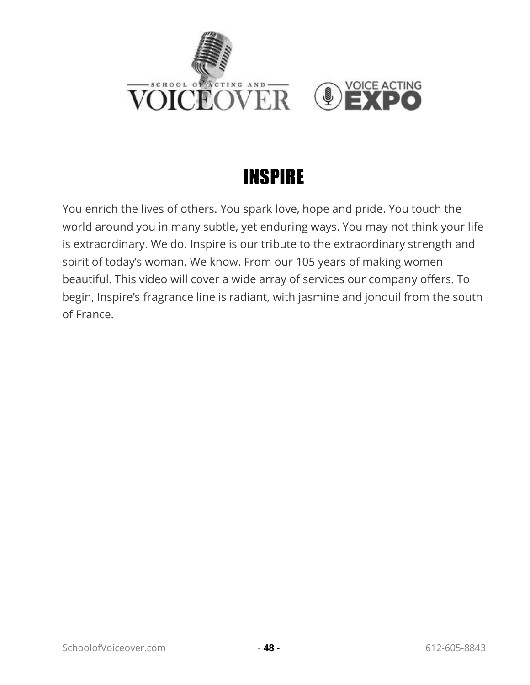

#### INSPIRE

You enrich the lives of others. You spark love, hope and pride. You touch the world around you in many subtle, yet enduring ways. You may not think your life is extraordinary. We do. Inspire is our tribute to the extraordinary strength and spirit of today's woman. We know. From our 105 years of making women beautiful. This video will cover a wide array of services our company offers. To begin, Inspire's fragrance line is radiant, with jasmine and jonquil from the south of France.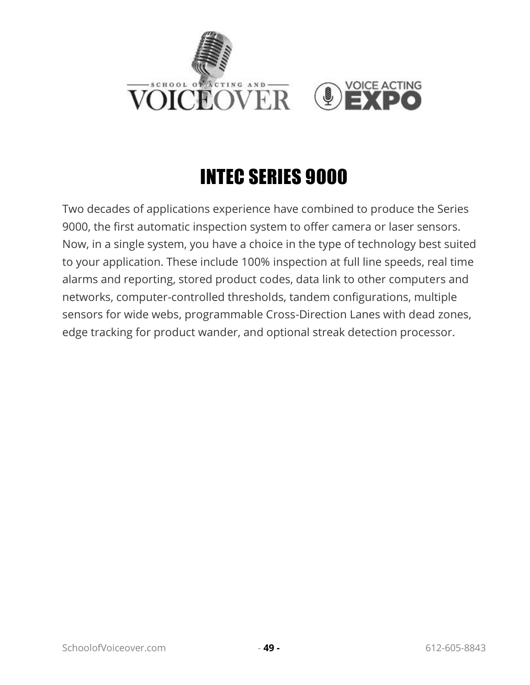

## INTEC SERIES 9000

Two decades of applications experience have combined to produce the Series 9000, the first automatic inspection system to offer camera or laser sensors. Now, in a single system, you have a choice in the type of technology best suited to your application. These include 100% inspection at full line speeds, real time alarms and reporting, stored product codes, data link to other computers and networks, computer-controlled thresholds, tandem configurations, multiple sensors for wide webs, programmable Cross-Direction Lanes with dead zones, edge tracking for product wander, and optional streak detection processor.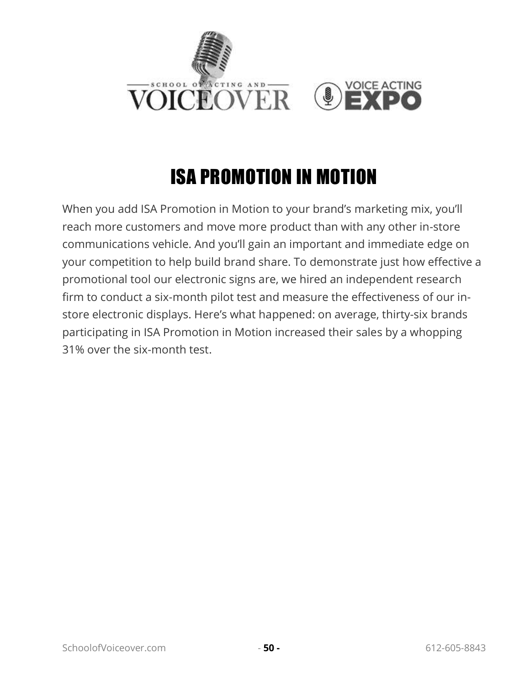

# ISA PROMOTION IN MOTION

When you add ISA Promotion in Motion to your brand's marketing mix, you'll reach more customers and move more product than with any other in-store communications vehicle. And you'll gain an important and immediate edge on your competition to help build brand share. To demonstrate just how effective a promotional tool our electronic signs are, we hired an independent research firm to conduct a six-month pilot test and measure the effectiveness of our instore electronic displays. Here's what happened: on average, thirty-six brands participating in ISA Promotion in Motion increased their sales by a whopping 31% over the six-month test.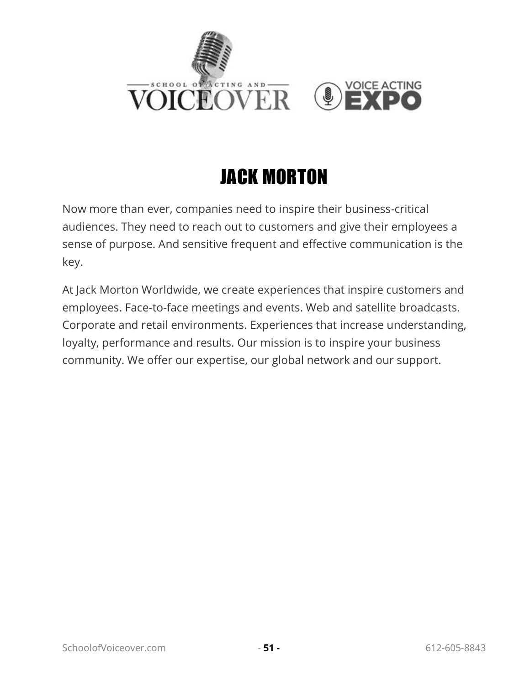

## JACK MORTON

Now more than ever, companies need to inspire their business-critical audiences. They need to reach out to customers and give their employees a sense of purpose. And sensitive frequent and effective communication is the key.

At Jack Morton Worldwide, we create experiences that inspire customers and employees. Face-to-face meetings and events. Web and satellite broadcasts. Corporate and retail environments. Experiences that increase understanding, loyalty, performance and results. Our mission is to inspire your business community. We offer our expertise, our global network and our support.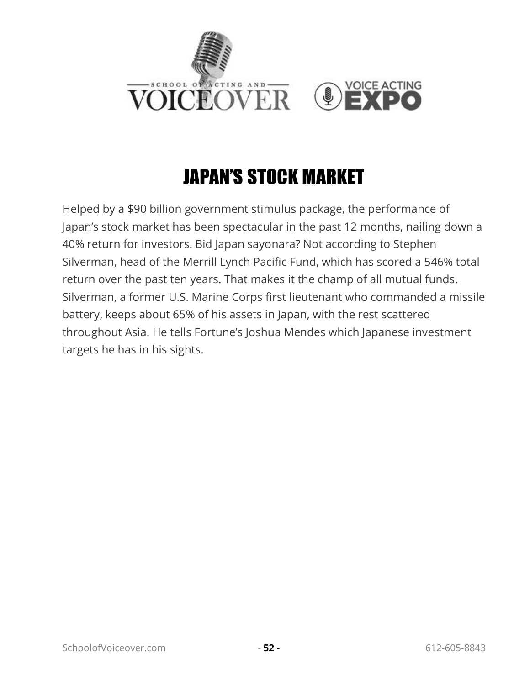

## JAPAN'S STOCK MARKET

Helped by a \$90 billion government stimulus package, the performance of Japan's stock market has been spectacular in the past 12 months, nailing down a 40% return for investors. Bid Japan sayonara? Not according to Stephen Silverman, head of the Merrill Lynch Pacific Fund, which has scored a 546% total return over the past ten years. That makes it the champ of all mutual funds. Silverman, a former U.S. Marine Corps first lieutenant who commanded a missile battery, keeps about 65% of his assets in Japan, with the rest scattered throughout Asia. He tells Fortune's Joshua Mendes which Japanese investment targets he has in his sights.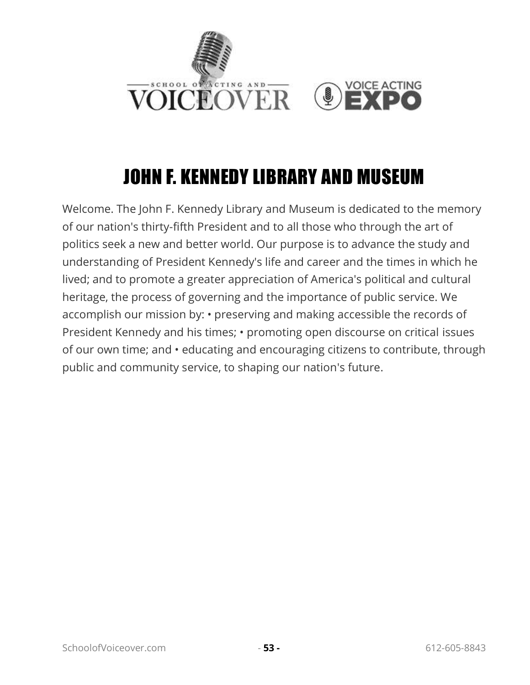

#### JOHN F. KENNEDY LIBRARY AND MUSEUM

Welcome. The John F. Kennedy Library and Museum is dedicated to the memory of our nation's thirty-fifth President and to all those who through the art of politics seek a new and better world. Our purpose is to advance the study and understanding of President Kennedy's life and career and the times in which he lived; and to promote a greater appreciation of America's political and cultural heritage, the process of governing and the importance of public service. We accomplish our mission by: • preserving and making accessible the records of President Kennedy and his times; • promoting open discourse on critical issues of our own time; and • educating and encouraging citizens to contribute, through public and community service, to shaping our nation's future.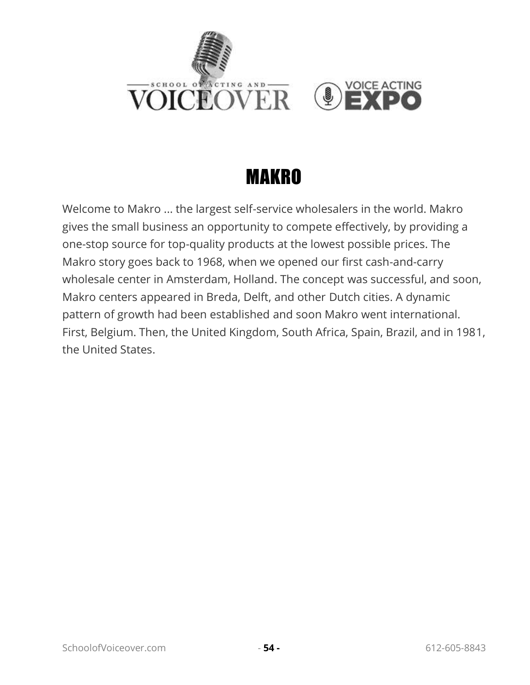

## MAKRO

Welcome to Makro ... the largest self-service wholesalers in the world. Makro gives the small business an opportunity to compete effectively, by providing a one-stop source for top-quality products at the lowest possible prices. The Makro story goes back to 1968, when we opened our first cash-and-carry wholesale center in Amsterdam, Holland. The concept was successful, and soon, Makro centers appeared in Breda, Delft, and other Dutch cities. A dynamic pattern of growth had been established and soon Makro went international. First, Belgium. Then, the United Kingdom, South Africa, Spain, Brazil, and in 1981, the United States.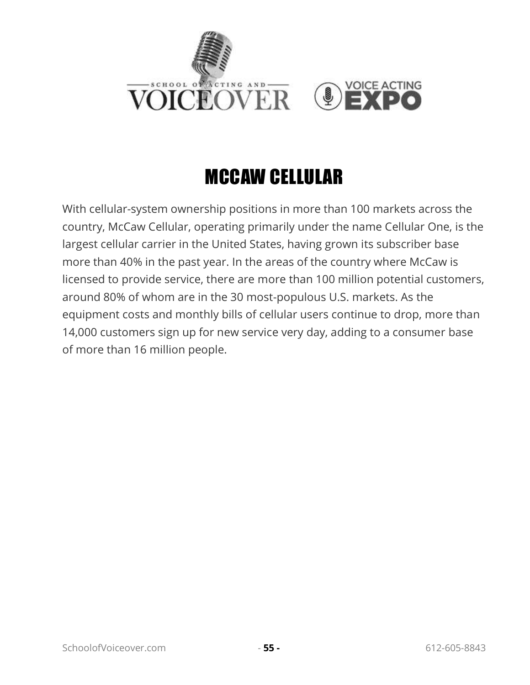

## MCCAW CELLULAR

With cellular-system ownership positions in more than 100 markets across the country, McCaw Cellular, operating primarily under the name Cellular One, is the largest cellular carrier in the United States, having grown its subscriber base more than 40% in the past year. In the areas of the country where McCaw is licensed to provide service, there are more than 100 million potential customers, around 80% of whom are in the 30 most-populous U.S. markets. As the equipment costs and monthly bills of cellular users continue to drop, more than 14,000 customers sign up for new service very day, adding to a consumer base of more than 16 million people.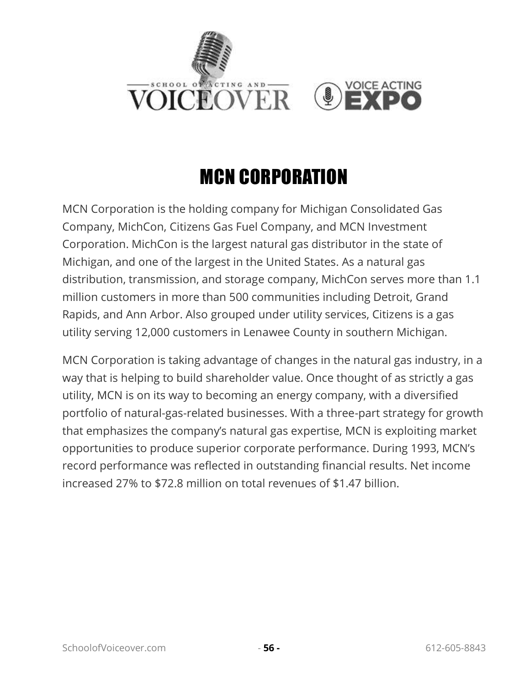

## MCN CORPORATION

MCN Corporation is the holding company for Michigan Consolidated Gas Company, MichCon, Citizens Gas Fuel Company, and MCN Investment Corporation. MichCon is the largest natural gas distributor in the state of Michigan, and one of the largest in the United States. As a natural gas distribution, transmission, and storage company, MichCon serves more than 1.1 million customers in more than 500 communities including Detroit, Grand Rapids, and Ann Arbor. Also grouped under utility services, Citizens is a gas utility serving 12,000 customers in Lenawee County in southern Michigan.

MCN Corporation is taking advantage of changes in the natural gas industry, in a way that is helping to build shareholder value. Once thought of as strictly a gas utility, MCN is on its way to becoming an energy company, with a diversified portfolio of natural-gas-related businesses. With a three-part strategy for growth that emphasizes the company's natural gas expertise, MCN is exploiting market opportunities to produce superior corporate performance. During 1993, MCN's record performance was reflected in outstanding financial results. Net income increased 27% to \$72.8 million on total revenues of \$1.47 billion.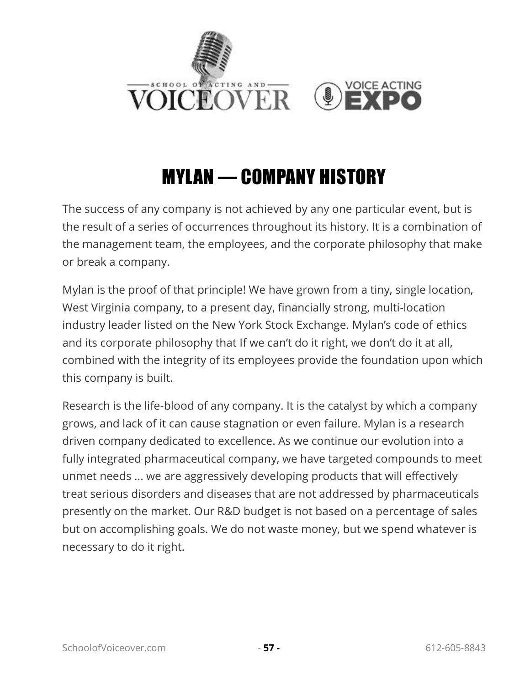

#### MYLAN — COMPANY HISTORY

The success of any company is not achieved by any one particular event, but is the result of a series of occurrences throughout its history. It is a combination of the management team, the employees, and the corporate philosophy that make or break a company.

Mylan is the proof of that principle! We have grown from a tiny, single location, West Virginia company, to a present day, financially strong, multi-location industry leader listed on the New York Stock Exchange. Mylan's code of ethics and its corporate philosophy that If we can't do it right, we don't do it at all, combined with the integrity of its employees provide the foundation upon which this company is built.

Research is the life-blood of any company. It is the catalyst by which a company grows, and lack of it can cause stagnation or even failure. Mylan is a research driven company dedicated to excellence. As we continue our evolution into a fully integrated pharmaceutical company, we have targeted compounds to meet unmet needs ... we are aggressively developing products that will effectively treat serious disorders and diseases that are not addressed by pharmaceuticals presently on the market. Our R&D budget is not based on a percentage of sales but on accomplishing goals. We do not waste money, but we spend whatever is necessary to do it right.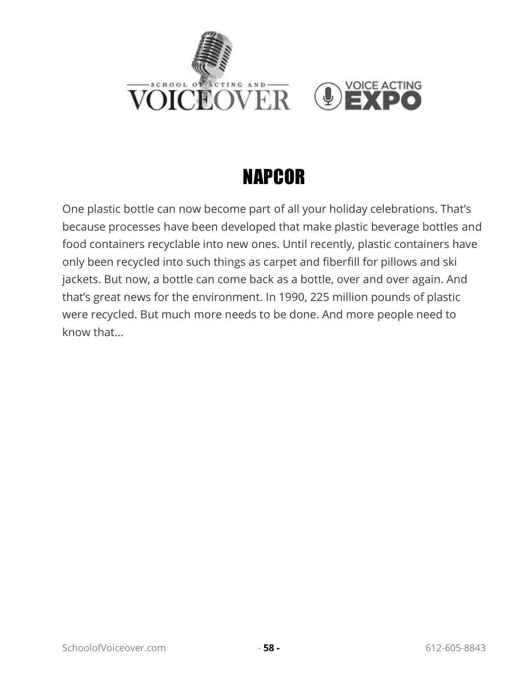

#### NAPCOR

One plastic bottle can now become part of all your holiday celebrations. That's because processes have been developed that make plastic beverage bottles and food containers recyclable into new ones. Until recently, plastic containers have only been recycled into such things as carpet and fiberfill for pillows and ski jackets. But now, a bottle can come back as a bottle, over and over again. And that's great news for the environment. In 1990, 225 million pounds of plastic were recycled. But much more needs to be done. And more people need to know that...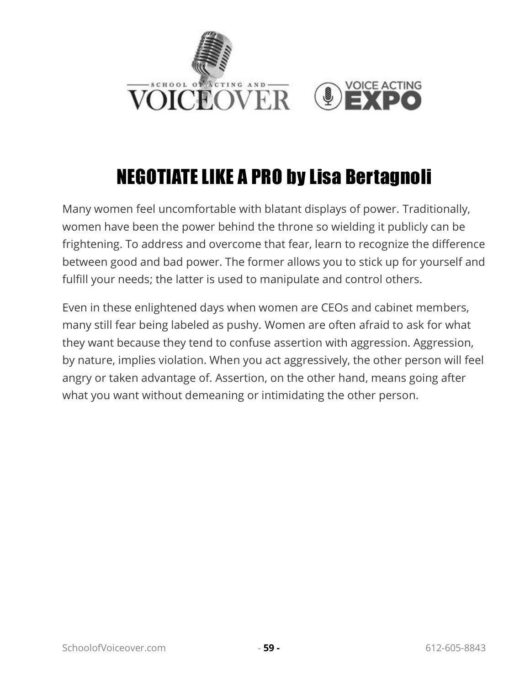

# NEGOTIATE LIKE A PRO by Lisa Bertagnoli

Many women feel uncomfortable with blatant displays of power. Traditionally, women have been the power behind the throne so wielding it publicly can be frightening. To address and overcome that fear, learn to recognize the difference between good and bad power. The former allows you to stick up for yourself and fulfill your needs; the latter is used to manipulate and control others.

Even in these enlightened days when women are CEOs and cabinet members, many still fear being labeled as pushy. Women are often afraid to ask for what they want because they tend to confuse assertion with aggression. Aggression, by nature, implies violation. When you act aggressively, the other person will feel angry or taken advantage of. Assertion, on the other hand, means going after what you want without demeaning or intimidating the other person.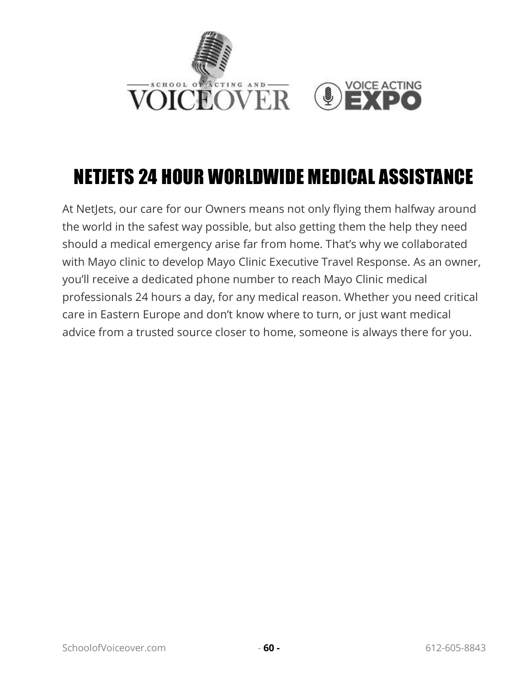

## NETJETS 24 HOUR WORLDWIDE MEDICAL ASSISTANCE

At NetJets, our care for our Owners means not only flying them halfway around the world in the safest way possible, but also getting them the help they need should a medical emergency arise far from home. That's why we collaborated with Mayo clinic to develop Mayo Clinic Executive Travel Response. As an owner, you'll receive a dedicated phone number to reach Mayo Clinic medical professionals 24 hours a day, for any medical reason. Whether you need critical care in Eastern Europe and don't know where to turn, or just want medical advice from a trusted source closer to home, someone is always there for you.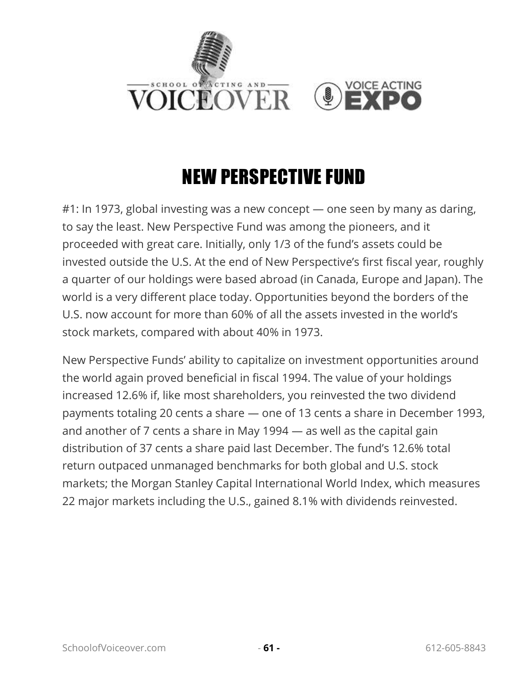

## NEW PERSPECTIVE FUND

#1: In 1973, global investing was a new concept — one seen by many as daring, to say the least. New Perspective Fund was among the pioneers, and it proceeded with great care. Initially, only 1/3 of the fund's assets could be invested outside the U.S. At the end of New Perspective's first fiscal year, roughly a quarter of our holdings were based abroad (in Canada, Europe and Japan). The world is a very different place today. Opportunities beyond the borders of the U.S. now account for more than 60% of all the assets invested in the world's stock markets, compared with about 40% in 1973.

New Perspective Funds' ability to capitalize on investment opportunities around the world again proved beneficial in fiscal 1994. The value of your holdings increased 12.6% if, like most shareholders, you reinvested the two dividend payments totaling 20 cents a share — one of 13 cents a share in December 1993, and another of 7 cents a share in May 1994 — as well as the capital gain distribution of 37 cents a share paid last December. The fund's 12.6% total return outpaced unmanaged benchmarks for both global and U.S. stock markets; the Morgan Stanley Capital International World Index, which measures 22 major markets including the U.S., gained 8.1% with dividends reinvested.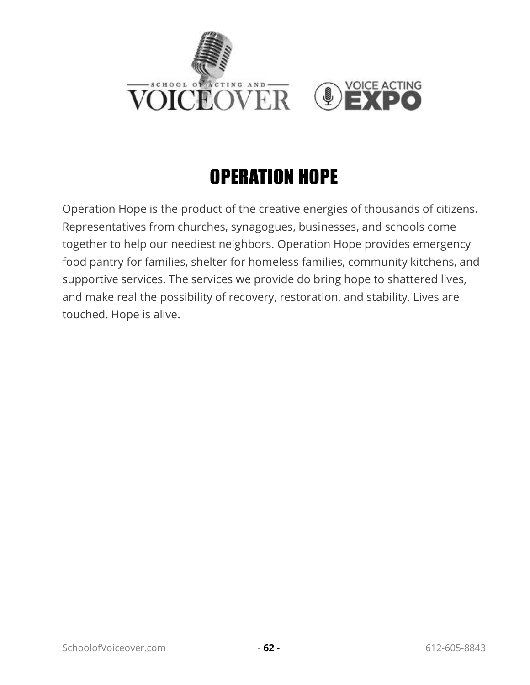

# OPERATION HOPE

Operation Hope is the product of the creative energies of thousands of citizens. Representatives from churches, synagogues, businesses, and schools come together to help our neediest neighbors. Operation Hope provides emergency food pantry for families, shelter for homeless families, community kitchens, and supportive services. The services we provide do bring hope to shattered lives, and make real the possibility of recovery, restoration, and stability. Lives are touched. Hope is alive.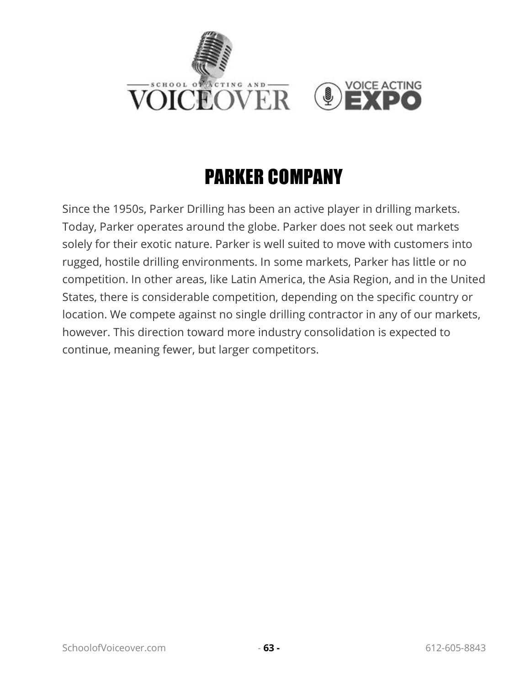

## PARKER COMPANY

Since the 1950s, Parker Drilling has been an active player in drilling markets. Today, Parker operates around the globe. Parker does not seek out markets solely for their exotic nature. Parker is well suited to move with customers into rugged, hostile drilling environments. In some markets, Parker has little or no competition. In other areas, like Latin America, the Asia Region, and in the United States, there is considerable competition, depending on the specific country or location. We compete against no single drilling contractor in any of our markets, however. This direction toward more industry consolidation is expected to continue, meaning fewer, but larger competitors.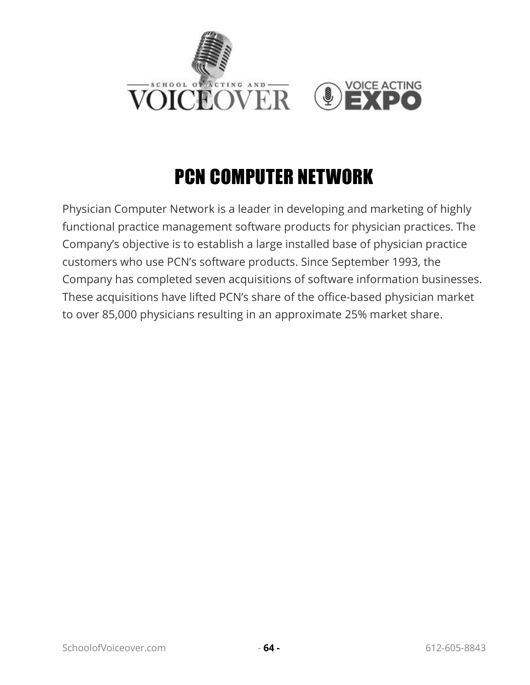

## PCN COMPUTER NETWORK

Physician Computer Network is a leader in developing and marketing of highly functional practice management software products for physician practices. The Company's objective is to establish a large installed base of physician practice customers who use PCN's software products. Since September 1993, the Company has completed seven acquisitions of software information businesses. These acquisitions have lifted PCN's share of the office-based physician market to over 85,000 physicians resulting in an approximate 25% market share.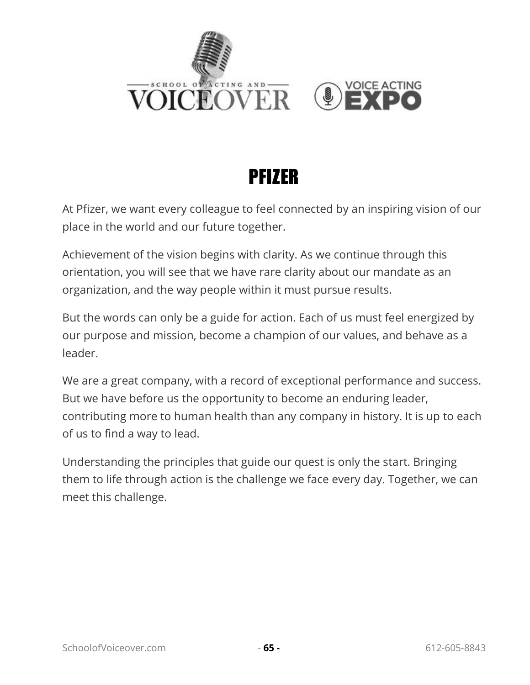



#### PFIZER

At Pfizer, we want every colleague to feel connected by an inspiring vision of our place in the world and our future together.

Achievement of the vision begins with clarity. As we continue through this orientation, you will see that we have rare clarity about our mandate as an organization, and the way people within it must pursue results.

But the words can only be a guide for action. Each of us must feel energized by our purpose and mission, become a champion of our values, and behave as a leader.

We are a great company, with a record of exceptional performance and success. But we have before us the opportunity to become an enduring leader, contributing more to human health than any company in history. It is up to each of us to find a way to lead.

Understanding the principles that guide our quest is only the start. Bringing them to life through action is the challenge we face every day. Together, we can meet this challenge.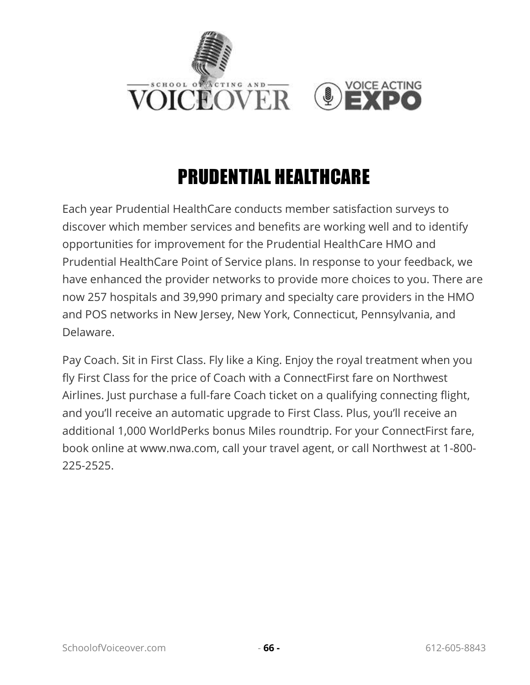

#### PRUDENTIAL HEALTHCARE

Each year Prudential HealthCare conducts member satisfaction surveys to discover which member services and benefits are working well and to identify opportunities for improvement for the Prudential HealthCare HMO and Prudential HealthCare Point of Service plans. In response to your feedback, we have enhanced the provider networks to provide more choices to you. There are now 257 hospitals and 39,990 primary and specialty care providers in the HMO and POS networks in New Jersey, New York, Connecticut, Pennsylvania, and Delaware.

Pay Coach. Sit in First Class. Fly like a King. Enjoy the royal treatment when you fly First Class for the price of Coach with a ConnectFirst fare on Northwest Airlines. Just purchase a full-fare Coach ticket on a qualifying connecting flight, and you'll receive an automatic upgrade to First Class. Plus, you'll receive an additional 1,000 WorldPerks bonus Miles roundtrip. For your ConnectFirst fare, book online at www.nwa.com, call your travel agent, or call Northwest at 1-800- 225-2525.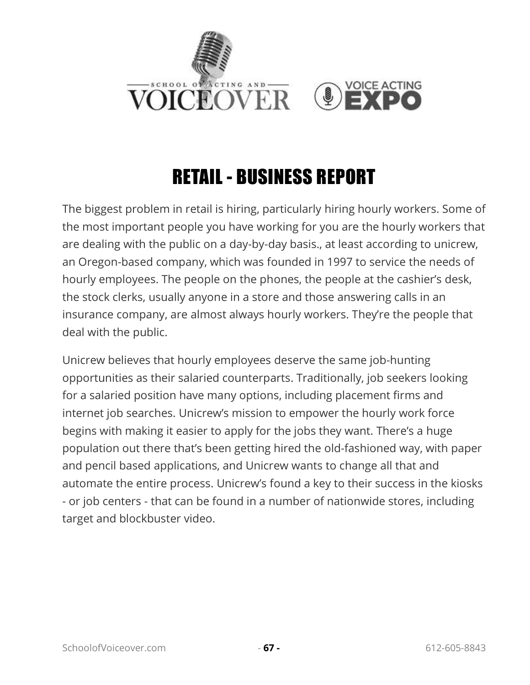

#### RETAIL - BUSINESS REPORT

The biggest problem in retail is hiring, particularly hiring hourly workers. Some of the most important people you have working for you are the hourly workers that are dealing with the public on a day-by-day basis., at least according to unicrew, an Oregon-based company, which was founded in 1997 to service the needs of hourly employees. The people on the phones, the people at the cashier's desk, the stock clerks, usually anyone in a store and those answering calls in an insurance company, are almost always hourly workers. They're the people that deal with the public.

Unicrew believes that hourly employees deserve the same job-hunting opportunities as their salaried counterparts. Traditionally, job seekers looking for a salaried position have many options, including placement firms and internet job searches. Unicrew's mission to empower the hourly work force begins with making it easier to apply for the jobs they want. There's a huge population out there that's been getting hired the old-fashioned way, with paper and pencil based applications, and Unicrew wants to change all that and automate the entire process. Unicrew's found a key to their success in the kiosks - or job centers - that can be found in a number of nationwide stores, including target and blockbuster video.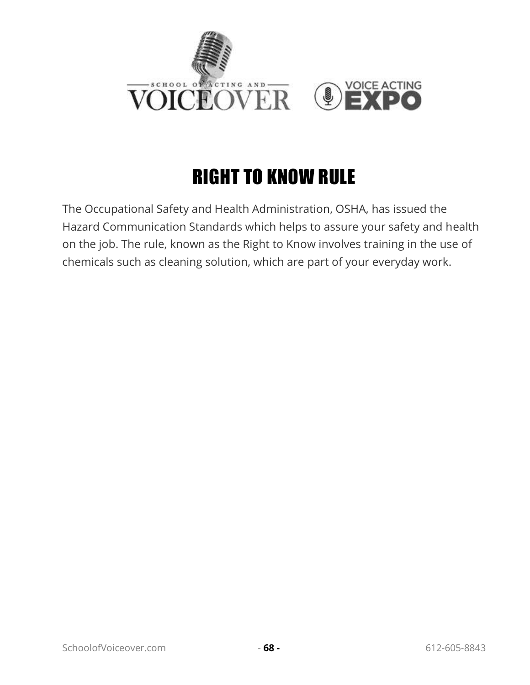

# RIGHT TO KNOW RULE

The Occupational Safety and Health Administration, OSHA, has issued the Hazard Communication Standards which helps to assure your safety and health on the job. The rule, known as the Right to Know involves training in the use of chemicals such as cleaning solution, which are part of your everyday work.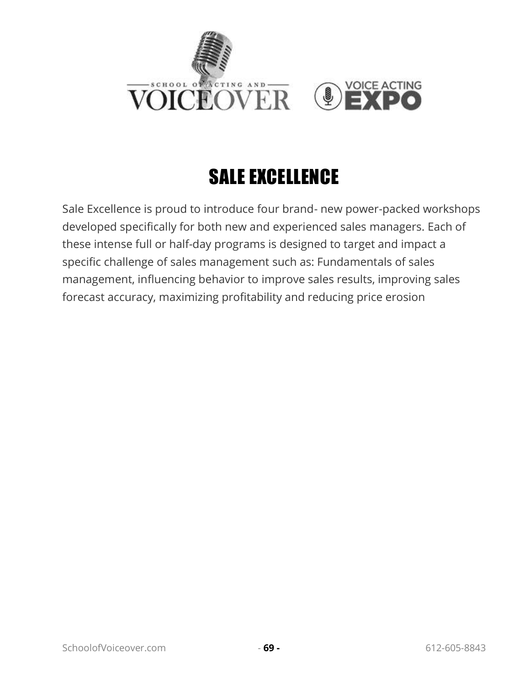

# SALE EXCELLENCE

Sale Excellence is proud to introduce four brand- new power-packed workshops developed specifically for both new and experienced sales managers. Each of these intense full or half-day programs is designed to target and impact a specific challenge of sales management such as: Fundamentals of sales management, influencing behavior to improve sales results, improving sales forecast accuracy, maximizing profitability and reducing price erosion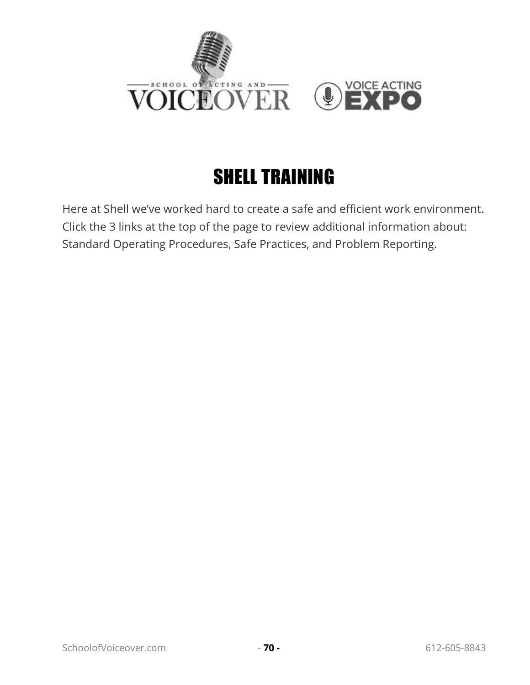

# SHELL TRAINING

Here at Shell we've worked hard to create a safe and efficient work environment. Click the 3 links at the top of the page to review additional information about: Standard Operating Procedures, Safe Practices, and Problem Reporting.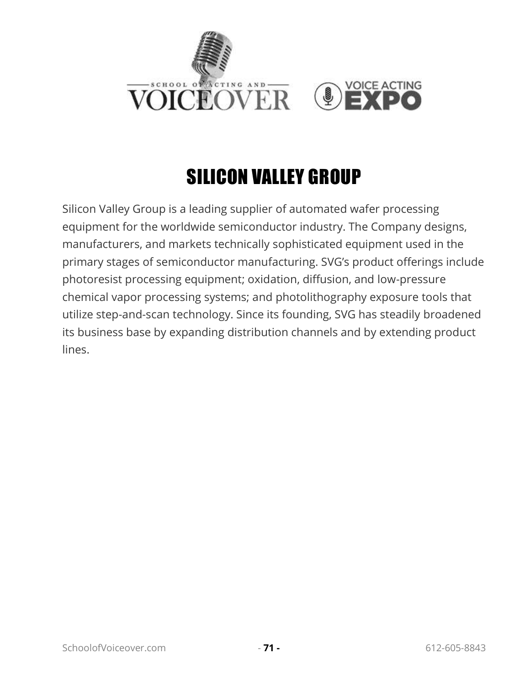

# SILICON VALLEY GROUP

Silicon Valley Group is a leading supplier of automated wafer processing equipment for the worldwide semiconductor industry. The Company designs, manufacturers, and markets technically sophisticated equipment used in the primary stages of semiconductor manufacturing. SVG's product offerings include photoresist processing equipment; oxidation, diffusion, and low-pressure chemical vapor processing systems; and photolithography exposure tools that utilize step-and-scan technology. Since its founding, SVG has steadily broadened its business base by expanding distribution channels and by extending product lines.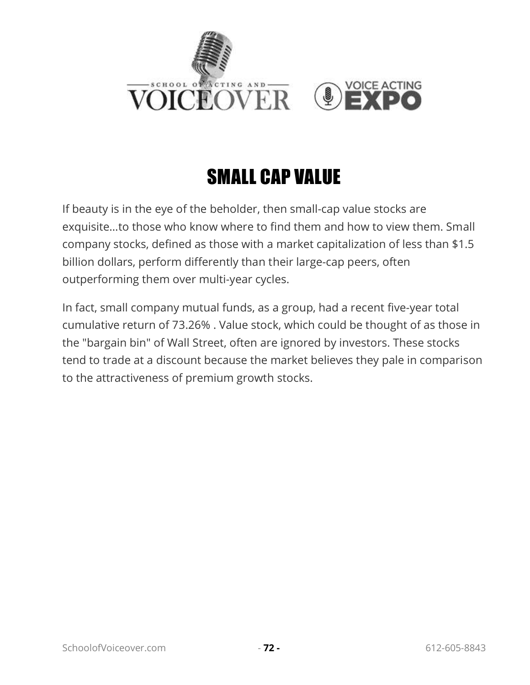

# SMALL CAP VALUE

If beauty is in the eye of the beholder, then small-cap value stocks are exquisite…to those who know where to find them and how to view them. Small company stocks, defined as those with a market capitalization of less than \$1.5 billion dollars, perform differently than their large-cap peers, often outperforming them over multi-year cycles.

In fact, small company mutual funds, as a group, had a recent five-year total cumulative return of 73.26% . Value stock, which could be thought of as those in the "bargain bin" of Wall Street, often are ignored by investors. These stocks tend to trade at a discount because the market believes they pale in comparison to the attractiveness of premium growth stocks.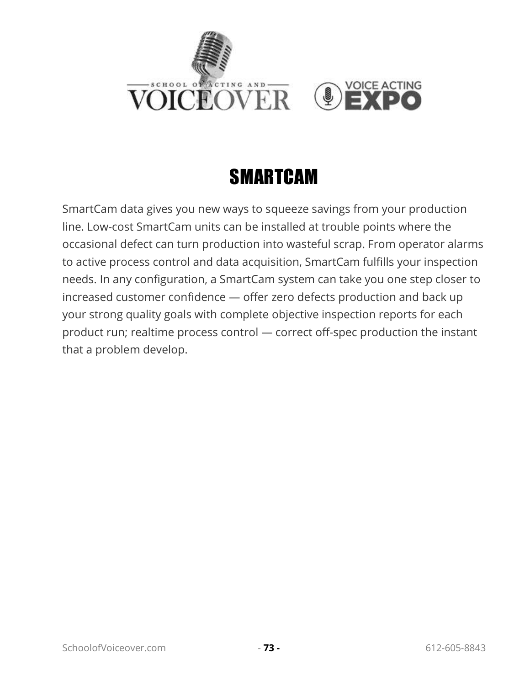

### SMARTCAM

SmartCam data gives you new ways to squeeze savings from your production line. Low-cost SmartCam units can be installed at trouble points where the occasional defect can turn production into wasteful scrap. From operator alarms to active process control and data acquisition, SmartCam fulfills your inspection needs. In any configuration, a SmartCam system can take you one step closer to increased customer confidence — offer zero defects production and back up your strong quality goals with complete objective inspection reports for each product run; realtime process control — correct off-spec production the instant that a problem develop.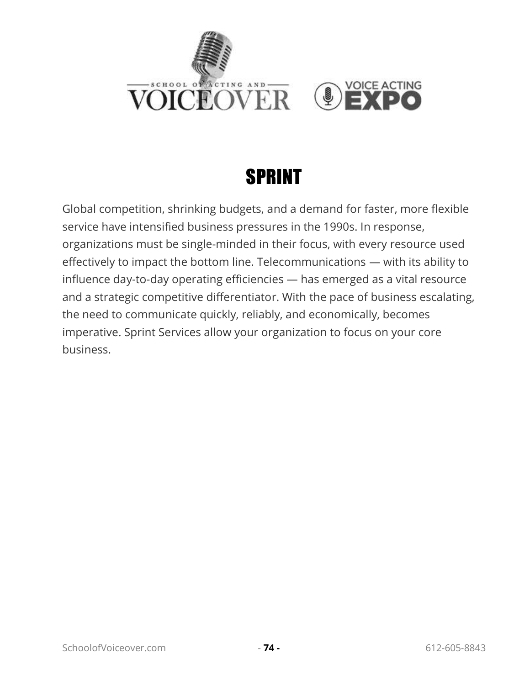

### **SPRINT**

Global competition, shrinking budgets, and a demand for faster, more flexible service have intensified business pressures in the 1990s. In response, organizations must be single-minded in their focus, with every resource used effectively to impact the bottom line. Telecommunications — with its ability to influence day-to-day operating efficiencies — has emerged as a vital resource and a strategic competitive differentiator. With the pace of business escalating, the need to communicate quickly, reliably, and economically, becomes imperative. Sprint Services allow your organization to focus on your core business.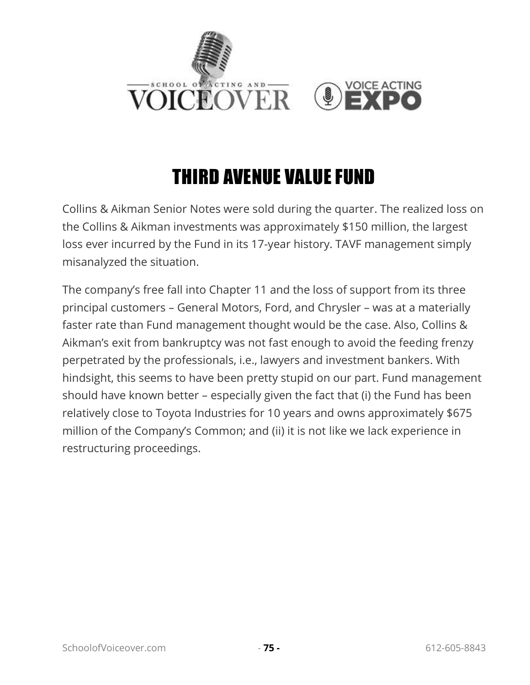

### THIRD AVENUE VALUE FUND

Collins & Aikman Senior Notes were sold during the quarter. The realized loss on the Collins & Aikman investments was approximately \$150 million, the largest loss ever incurred by the Fund in its 17-year history. TAVF management simply misanalyzed the situation.

The company's free fall into Chapter 11 and the loss of support from its three principal customers – General Motors, Ford, and Chrysler – was at a materially faster rate than Fund management thought would be the case. Also, Collins & Aikman's exit from bankruptcy was not fast enough to avoid the feeding frenzy perpetrated by the professionals, i.e., lawyers and investment bankers. With hindsight, this seems to have been pretty stupid on our part. Fund management should have known better – especially given the fact that (i) the Fund has been relatively close to Toyota Industries for 10 years and owns approximately \$675 million of the Company's Common; and (ii) it is not like we lack experience in restructuring proceedings.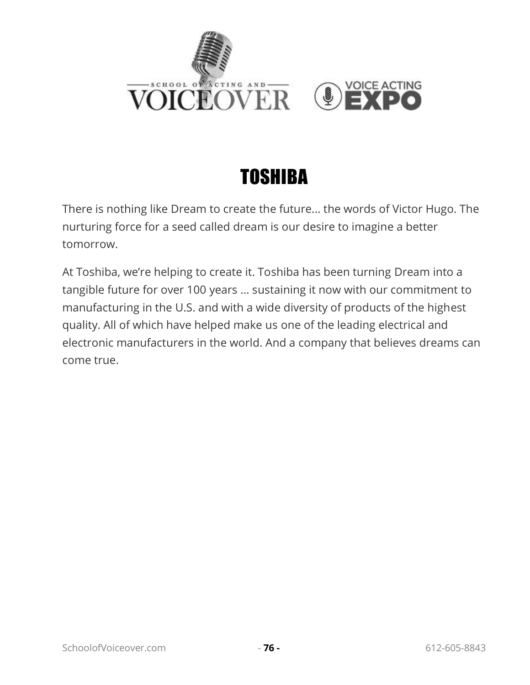



There is nothing like Dream to create the future... the words of Victor Hugo. The nurturing force for a seed called dream is our desire to imagine a better tomorrow.

At Toshiba, we're helping to create it. Toshiba has been turning Dream into a tangible future for over 100 years ... sustaining it now with our commitment to manufacturing in the U.S. and with a wide diversity of products of the highest quality. All of which have helped make us one of the leading electrical and electronic manufacturers in the world. And a company that believes dreams can come true.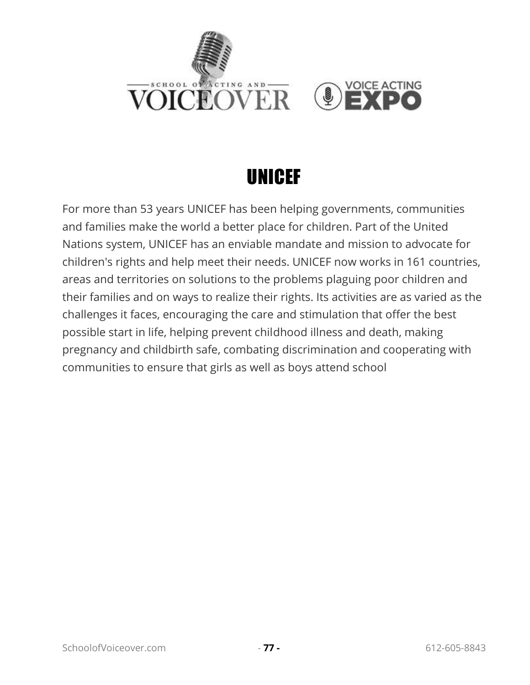

### UNICEF

For more than 53 years UNICEF has been helping governments, communities and families make the world a better place for children. Part of the United Nations system, UNICEF has an enviable mandate and mission to advocate for children's rights and help meet their needs. UNICEF now works in 161 countries, areas and territories on solutions to the problems plaguing poor children and their families and on ways to realize their rights. Its activities are as varied as the challenges it faces, encouraging the care and stimulation that offer the best possible start in life, helping prevent childhood illness and death, making pregnancy and childbirth safe, combating discrimination and cooperating with communities to ensure that girls as well as boys attend school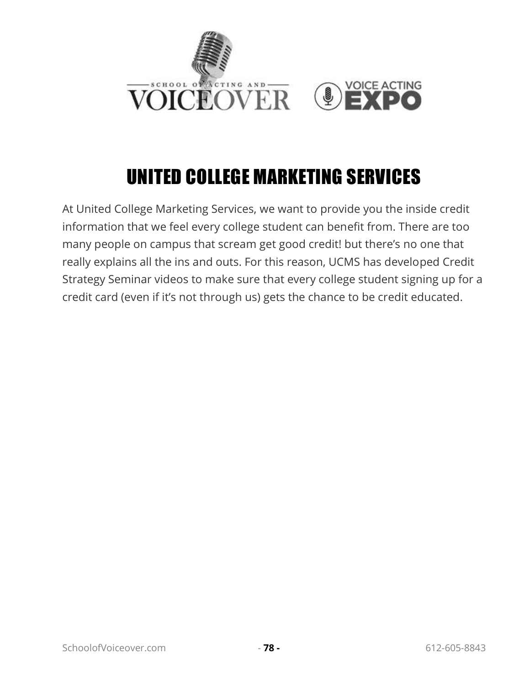

# UNITED COLLEGE MARKETING SERVICES

At United College Marketing Services, we want to provide you the inside credit information that we feel every college student can benefit from. There are too many people on campus that scream get good credit! but there's no one that really explains all the ins and outs. For this reason, UCMS has developed Credit Strategy Seminar videos to make sure that every college student signing up for a credit card (even if it's not through us) gets the chance to be credit educated.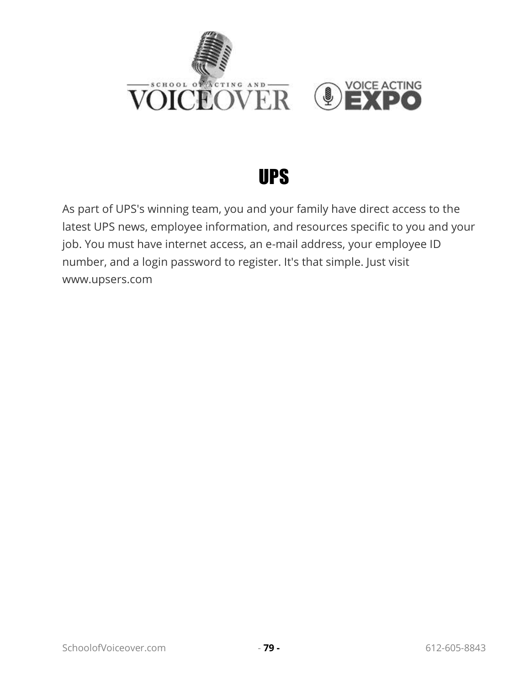

#### UPS

As part of UPS's winning team, you and your family have direct access to the latest UPS news, employee information, and resources specific to you and your job. You must have internet access, an e-mail address, your employee ID number, and a login password to register. It's that simple. Just visit www.upsers.com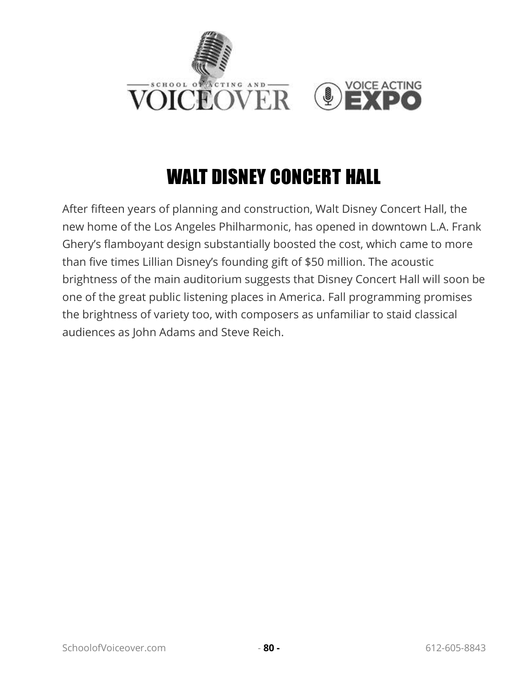

# WALT DISNEY CONCERT HALL

After fifteen years of planning and construction, Walt Disney Concert Hall, the new home of the Los Angeles Philharmonic, has opened in downtown L.A. Frank Ghery's flamboyant design substantially boosted the cost, which came to more than five times Lillian Disney's founding gift of \$50 million. The acoustic brightness of the main auditorium suggests that Disney Concert Hall will soon be one of the great public listening places in America. Fall programming promises the brightness of variety too, with composers as unfamiliar to staid classical audiences as John Adams and Steve Reich.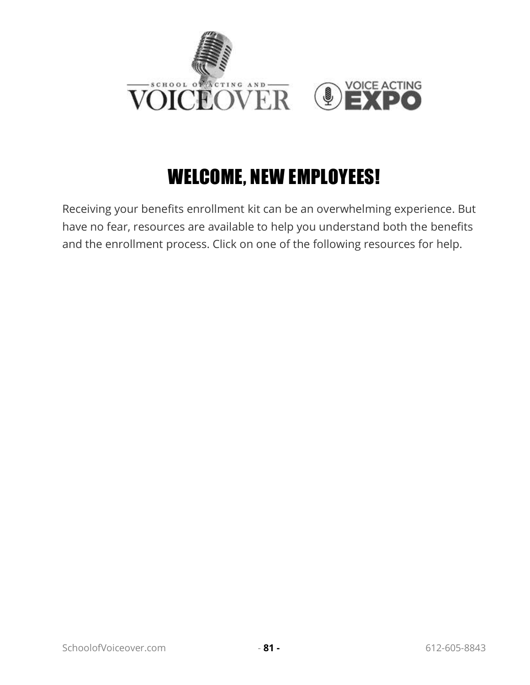

### WELCOME, NEW EMPLOYEES!

Receiving your benefits enrollment kit can be an overwhelming experience. But have no fear, resources are available to help you understand both the benefits and the enrollment process. Click on one of the following resources for help.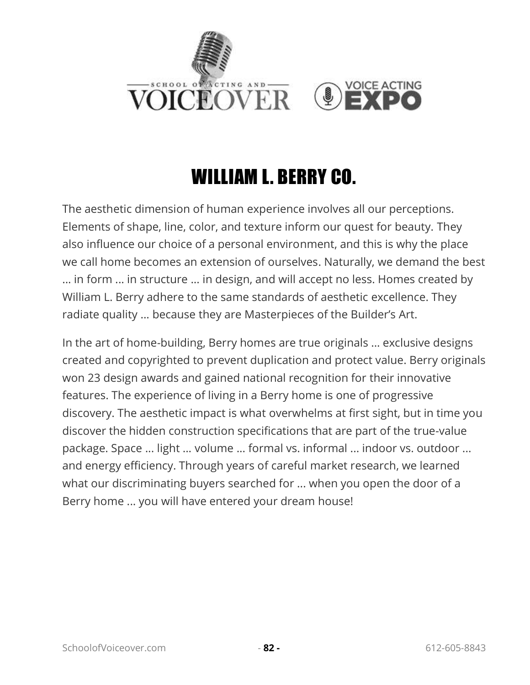

### WILLIAM L. BERRY CO.

The aesthetic dimension of human experience involves all our perceptions. Elements of shape, line, color, and texture inform our quest for beauty. They also influence our choice of a personal environment, and this is why the place we call home becomes an extension of ourselves. Naturally, we demand the best ... in form ... in structure ... in design, and will accept no less. Homes created by William L. Berry adhere to the same standards of aesthetic excellence. They radiate quality ... because they are Masterpieces of the Builder's Art.

In the art of home-building, Berry homes are true originals ... exclusive designs created and copyrighted to prevent duplication and protect value. Berry originals won 23 design awards and gained national recognition for their innovative features. The experience of living in a Berry home is one of progressive discovery. The aesthetic impact is what overwhelms at first sight, but in time you discover the hidden construction specifications that are part of the true-value package. Space ... light ... volume ... formal vs. informal ... indoor vs. outdoor ... and energy efficiency. Through years of careful market research, we learned what our discriminating buyers searched for ... when you open the door of a Berry home ... you will have entered your dream house!